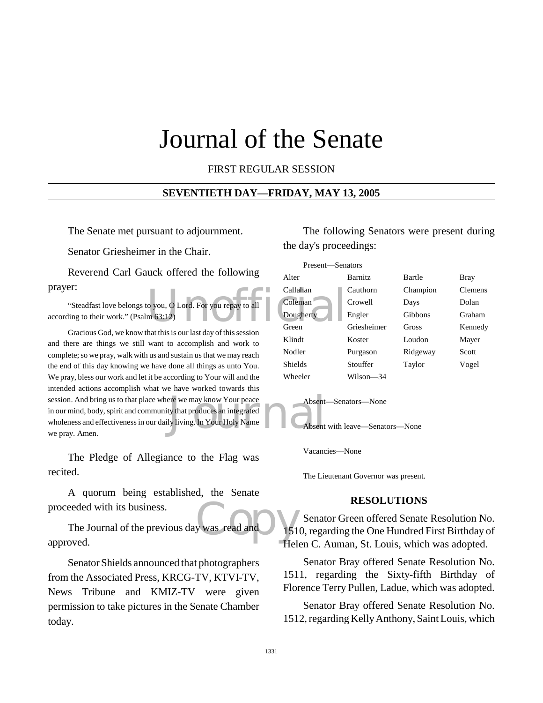# Journal of the Senate

FIRST REGULAR SESSION

#### **SEVENTIETH DAY—FRIDAY, MAY 13, 2005**

The Senate met pursuant to adjournment.

Senator Griesheimer in the Chair.

Reverend Carl Gauck offered the following prayer:

"Steadfast love belongs to you, O Lord. For you repay to all according to their work." (Psalm 63:12)

ere we may know Your peace<br>ty that produces an integrated<br>ly living. In Your Holy Name Gracious God, we know that this is our last day of this session and there are things we still want to accomplish and work to complete; so we pray, walk with us and sustain us that we may reach the end of this day knowing we have done all things as unto You. We pray, bless our work and let it be according to Your will and the intended actions accomplish what we have worked towards this session. And bring us to that place where we may know Your peace in our mind, body, spirit and community that produces an integrated wholeness and effectiveness in our daily living. In Your Holy Name we pray. Amen.

The Pledge of Allegiance to the Flag was recited.

A quorum being established, the Senate proceeded with its business.

was read and 151 The Journal of the previous day was read and approved.

Senator Shields announced that photographers from the Associated Press, KRCG-TV, KTVI-TV, News Tribune and KMIZ-TV were given permission to take pictures in the Senate Chamber today.

The following Senators were present during the day's proceedings:





Vacancies—None

The Lieutenant Governor was present.

#### **RESOLUTIONS**

Senator Green offered Senate Resolution No. 1510, regarding the One Hundred First Birthday of Helen C. Auman, St. Louis, which was adopted.

Senator Bray offered Senate Resolution No. 1511, regarding the Sixty-fifth Birthday of Florence Terry Pullen, Ladue, which was adopted.

Senator Bray offered Senate Resolution No. 1512, regarding Kelly Anthony, Saint Louis, which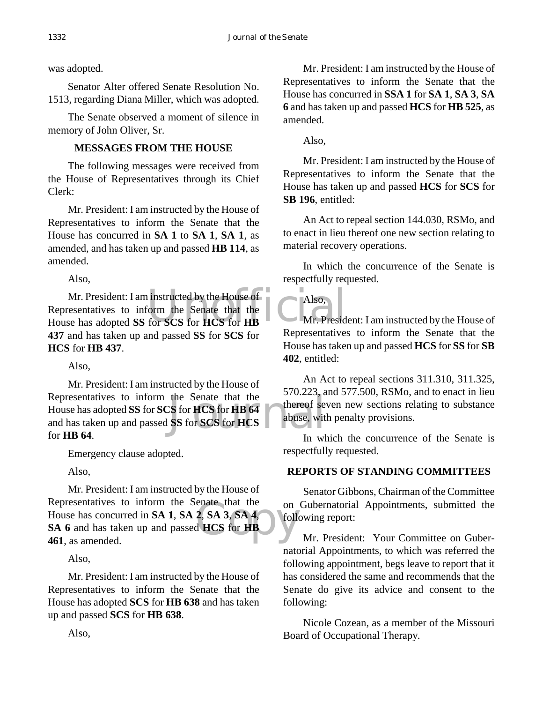was adopted.

Senator Alter offered Senate Resolution No. 1513, regarding Diana Miller, which was adopted.

The Senate observed a moment of silence in memory of John Oliver, Sr.

# **MESSAGES FROM THE HOUSE**

The following messages were received from the House of Representatives through its Chief Clerk:

Mr. President: I am instructed by the House of Representatives to inform the Senate that the House has concurred in **SA 1** to **SA 1**, **SA 1**, as amended, and has taken up and passed **HB 114**, as amended.

Also,

instructed by the House of<br>
Senate that the<br>
for SCS for HCS for HB<br>
Mr. Presid Mr. President: I am instructed by the House of Representatives to inform the Senate that the House has adopted **SS** for **SCS** for **HCS** for **HB 437** and has taken up and passed **SS** for **SCS** for **HCS** for **HB 437**.

Also,

the Senate that the<br>
Senate that the strong services of services of the services of the services of the services of the services of the services of the services of the services of the services of the services of the servic Mr. President: I am instructed by the House of Representatives to inform the Senate that the House has adopted **SS** for **SCS** for **HCS** for **HB 64** and has taken up and passed **SS** for **SCS** for **HCS** for **HB 64**.

Emergency clause adopted.

Also,

enate that the<br>
2, SA 3, SA 4, following<br>
d HCS for HB Mr. President: I am instructed by the House of Representatives to inform the Senate that the House has concurred in **SA 1**, **SA 2**, **SA 3**, **SA 4**, **SA 6** and has taken up and passed **HCS** for **HB 461**, as amended.

Also,

Mr. President: I am instructed by the House of Representatives to inform the Senate that the House has adopted **SCS** for **HB 638** and has taken up and passed **SCS** for **HB 638**.

Mr. President: I am instructed by the House of Representatives to inform the Senate that the House has concurred in **SSA 1** for **SA 1**, **SA 3**, **SA 6** and has taken up and passed **HCS** for **HB 525**, as amended.

Also,

Mr. President: I am instructed by the House of Representatives to inform the Senate that the House has taken up and passed **HCS** for **SCS** for **SB 196**, entitled:

An Act to repeal section 144.030, RSMo, and to enact in lieu thereof one new section relating to material recovery operations.

In which the concurrence of the Senate is respectfully requested.

Also,

Mr. President: I am instructed by the House of Representatives to inform the Senate that the House has taken up and passed **HCS** for **SS** for **SB 402**, entitled:

An Act to repeal sections 311.310, 311.325, 570.223, and 577.500, RSMo, and to enact in lieu thereof seven new sections relating to substance abuse, with penalty provisions.

In which the concurrence of the Senate is respectfully requested.

# **REPORTS OF STANDING COMMITTEES**

Senator Gibbons, Chairman of the Committee on Gubernatorial Appointments, submitted the following report:

Mr. President: Your Committee on Gubernatorial Appointments, to which was referred the following appointment, begs leave to report that it has considered the same and recommends that the Senate do give its advice and consent to the following:

Nicole Cozean, as a member of the Missouri Board of Occupational Therapy.

Also,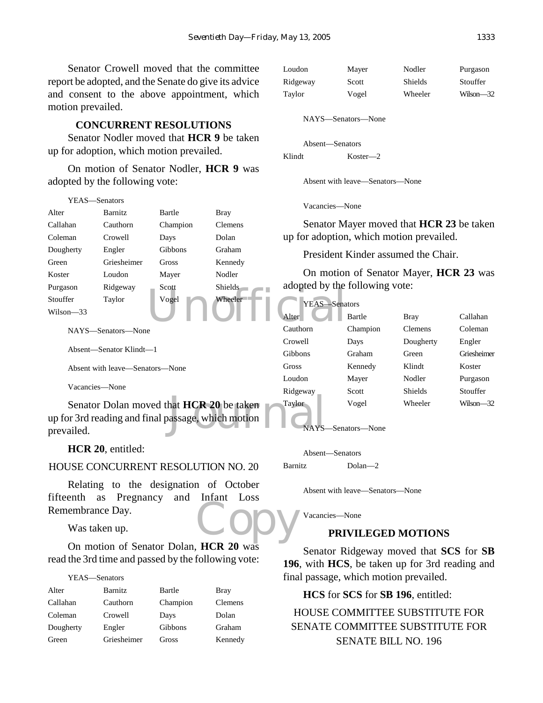Senator Crowell moved that the committee report be adopted, and the Senate do give its advice and consent to the above appointment, which motion prevailed.

#### **CONCURRENT RESOLUTIONS**

Senator Nodler moved that **HCR 9** be taken up for adoption, which motion prevailed.

On motion of Senator Nodler, **HCR 9** was adopted by the following vote:

| YEAS—Senators                                                                                                       |                                 |          | Vacancies—None  |                                          |          |                                        |             |
|---------------------------------------------------------------------------------------------------------------------|---------------------------------|----------|-----------------|------------------------------------------|----------|----------------------------------------|-------------|
| Alter                                                                                                               | <b>Barnitz</b>                  | Bartle   | <b>Bray</b>     |                                          |          |                                        |             |
| Callahan                                                                                                            | Cauthorn                        | Champion | <b>Clemens</b>  | Senator Mayer moved that HCR 23 be taken |          |                                        |             |
| Coleman                                                                                                             | Crowell                         | Days     | Dolan           | up for adoption, which motion prevailed. |          |                                        |             |
| Dougherty                                                                                                           | Engler                          | Gibbons  | Graham          |                                          |          | President Kinder assumed the Chair.    |             |
| Green                                                                                                               | Griesheimer                     | Gross    | Kennedy         |                                          |          |                                        |             |
| Koster                                                                                                              | Loudon                          | Mayer    | Nodler          |                                          |          | On motion of Senator Mayer, HCR 23 was |             |
| Purgason                                                                                                            | Ridgeway                        | Scott    | Shields         | adopted by the following vote:           |          |                                        |             |
| Stouffer                                                                                                            | Taylor                          | Vogel    | Wheeler         | YEAS-Senators                            |          |                                        |             |
| Wilson-33                                                                                                           |                                 |          |                 | Alter                                    | Bartle   | <b>Bray</b>                            | Callahan    |
|                                                                                                                     | NAYS—Senators—None              |          |                 | Cauthorn                                 | Champion | <b>Clemens</b>                         | Coleman     |
|                                                                                                                     |                                 |          |                 | Crowell                                  | Days     | Dougherty                              | Engler      |
|                                                                                                                     | Absent-Senator Klindt-1         |          |                 | Gibbons                                  | Graham   | Green                                  | Griesheimer |
|                                                                                                                     | Absent with leave—Senators—None |          |                 | Gross                                    | Kennedy  | Klindt                                 | Koster      |
|                                                                                                                     |                                 |          |                 | Loudon                                   | Mayer    | Nodler                                 | Purgason    |
| Vacancies—None                                                                                                      |                                 |          |                 | Ridgeway                                 | Scott    | Shields                                | Stouffer    |
| Senator Dolan moved that <b>HCR 20</b> be taken<br>up for 3rd reading and final passage, which motion<br>prevailed. |                                 |          | Taylor<br>NAYS- | Vogel<br>-Senators-None                  | Wheeler  | $Wilson - 32$                          |             |

## **HCR 20**, entitled:

## HOUSE CONCURRENT RESOLUTION NO. 20

Copy Relating to the designation of October fifteenth as Pregnancy and Infant Loss Remembrance Day.

Was taken up.

On motion of Senator Dolan, **HCR 20** was read the 3rd time and passed by the following vote:

|           | YEAS-Senators  |          |                |
|-----------|----------------|----------|----------------|
| Alter     | <b>Barnitz</b> | Bartle   | <b>Bray</b>    |
| Callahan  | Cauthorn       | Champion | <b>Clemens</b> |
| Coleman   | Crowell        | Days     | Dolan          |
| Dougherty | Engler         | Gibbons  | Graham         |
| Green     | Griesheimer    | Gross    | Kennedy        |

| Loudon   | Mayer | Nodler         | Purgason  |
|----------|-------|----------------|-----------|
| Ridgeway | Scott | <b>Shields</b> | Stouffer  |
| Taylor   | Vogel | Wheeler        | Wilson—32 |

NAYS—Senators—None

Absent—Senators Klindt Koster—2

Absent with leave—Senators—None

Absent—Senators Barnitz Dolan—2

Absent with leave—Senators—None

Vacancies—None

## **PRIVILEGED MOTIONS**

Senator Ridgeway moved that **SCS** for **SB 196**, with **HCS**, be taken up for 3rd reading and final passage, which motion prevailed.

**HCS** for **SCS** for **SB 196**, entitled:

HOUSE COMMITTEE SUBSTITUTE FOR SENATE COMMITTEE SUBSTITUTE FOR SENATE BILL NO. 196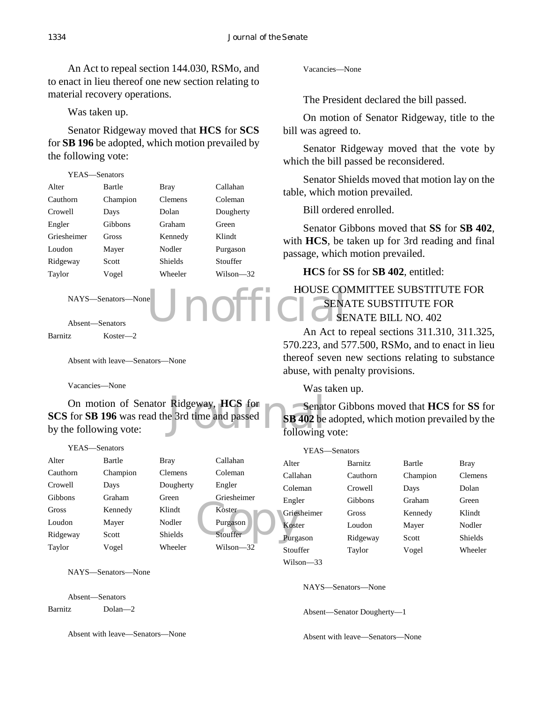An Act to repeal section 144.030, RSMo, and to enact in lieu thereof one new section relating to material recovery operations.

Was taken up.

Senator Ridgeway moved that **HCS** for **SCS** for **SB 196** be adopted, which motion prevailed by the following vote:

| YEAS—Senators |          |         |           |
|---------------|----------|---------|-----------|
| Alter         | Bartle   | Bray    | Callahan  |
| Cauthorn      | Champion | Clemens | Coleman   |
| Crowell       | Days     | Dolan   | Dougherty |
| Engler        | Gibbons  | Graham  | Green     |
| Griesheimer   | Gross    | Kennedy | Klindt    |
| Loudon        | Mayer    | Nodler  | Purgason  |
| Ridgeway      | Scott    | Shields | Stouffer  |
| Taylor        | Vogel    | Wheeler | Wilson—32 |
|               |          |         |           |

NAYS—Senators—None

Absent—Senators

Barnitz Koster—2

Absent with leave—Senators—None

Vacancies—None

On motion of Senator Ridgeway, **HCS** for<br>
for **SB 196** was read the 3rd time and passed<br> **SB 402** be<br>
following vote:<br>
following **SCS** for **SB 196** was read the 3rd time and passed by the following vote:

#### YEAS—Senators

| Alter    | Bartle   | Bray           | Callahan    | Alter |
|----------|----------|----------------|-------------|-------|
| Cauthorn | Champion | <b>Clemens</b> | Coleman     | Calla |
| Crowell  | Days     | Dougherty      | Engler      | Cole  |
| Gibbons  | Graham   | Green          | Griesheimer | Engl  |
| Gross    | Kennedy  | Klindt         | Koster      | Gries |
| Loudon   | Mayer    | Nodler         | Purgason    | Kost  |
| Ridgeway | Scott    | <b>Shields</b> | Stouffer    | Purg  |
| Taylor   | Vogel    | Wheeler        | Wilson—32   | Stout |

NAYS—Senators—None

Absent—Senators Barnitz Dolan—2

Absent with leave—Senators—None

Vacancies—None

The President declared the bill passed.

On motion of Senator Ridgeway, title to the bill was agreed to.

Senator Ridgeway moved that the vote by which the bill passed be reconsidered.

Senator Shields moved that motion lay on the table, which motion prevailed.

Bill ordered enrolled.

Senator Gibbons moved that **SS** for **SB 402**, with **HCS**, be taken up for 3rd reading and final passage, which motion prevailed.

**HCS** for **SS** for **SB 402**, entitled:

## Unofficial HOUSE COMMITTEE SUBSTITUTE FOR SENATE SUBSTITUTE FOR SENATE BILL NO. 402

An Act to repeal sections 311.310, 311.325, 570.223, and 577.500, RSMo, and to enact in lieu thereof seven new sections relating to substance abuse, with penalty provisions.

Was taken up.

Senator Gibbons moved that **HCS** for **SS** for **SB 402** be adopted, which motion prevailed by the following vote:

| YEAS—Senators |                |          |                |
|---------------|----------------|----------|----------------|
| Alter         | <b>Barnitz</b> | Bartle   | Bray           |
| Callahan      | Cauthorn       | Champion | <b>Clemens</b> |
| Coleman       | Crowell        | Days     | Dolan          |
| Engler        | Gibbons        | Graham   | Green          |
| Griesheimer   | Gross          | Kennedy  | Klindt         |
| Koster        | Loudon         | Mayer    | Nodler         |
| Purgason      | Ridgeway       | Scott    | Shields        |
| Stouffer      | Taylor         | Vogel    | Wheeler        |
|               |                |          |                |

Wilson—33

NAYS—Senators—None

Absent—Senator Dougherty—1

Absent with leave—Senators—None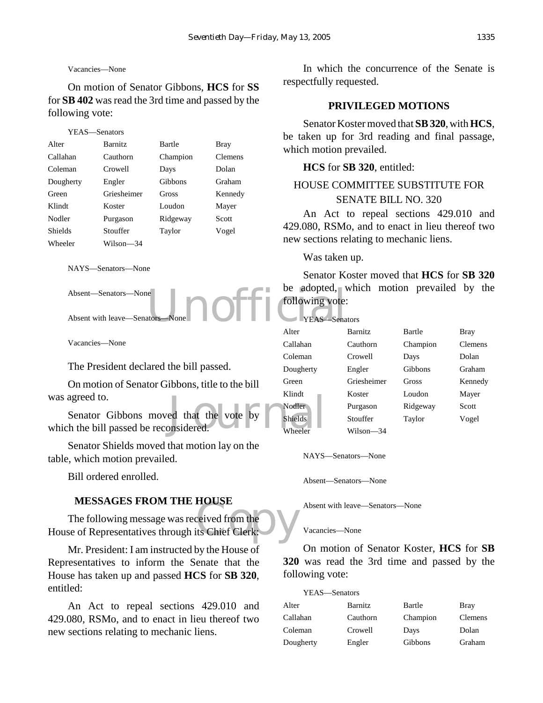## Vacancies—None

On motion of Senator Gibbons, **HCS** for **SS** for **SB 402** was read the 3rd time and passed by the following vote:

# YEAS—Senators Alter Barnitz Bartle Bray Callahan Cauthorn Champion Clemens Coleman Crowell Days Dolan Dougherty Engler Gibbons Graham Green Griesheimer Gross Kennedy Klindt Koster Loudon Mayer Nodler Purgason Ridgeway Scott Shields Stouffer Taylor Vogel Wheeler Wilson—34

NAYS—Senators—None

Absent—Senators—None

Absent with leave-Senators

Vacancies—None

The President declared the bill passed.

On motion of Senator Gibbons, title to the bill was agreed to.

```
ed that the vote by Nodler Shields Wheeler
    Senator Gibbons moved that the vote by
which the bill passed be reconsidered.
```
Senator Shields moved that motion lay on the table, which motion prevailed.

Bill ordered enrolled.

#### **MESSAGES FROM THE HOUSE**

MESSAGES FROM THE HOUSE<br>The following message was received from the<br>House of Representatives through its Chief Clerk: The following message was received from the

Mr. President: I am instructed by the House of Representatives to inform the Senate that the House has taken up and passed **HCS** for **SB 320**, entitled:

An Act to repeal sections 429.010 and 429.080, RSMo, and to enact in lieu thereof two new sections relating to mechanic liens.

In which the concurrence of the Senate is respectfully requested.

#### **PRIVILEGED MOTIONS**

Senator Koster moved that **SB 320**, with **HCS**, be taken up for 3rd reading and final passage, which motion prevailed.

#### **HCS** for **SB 320**, entitled:

# HOUSE COMMITTEE SUBSTITUTE FOR SENATE BILL NO. 320

An Act to repeal sections 429.010 and 429.080, RSMo, and to enact in lieu thereof two new sections relating to mechanic liens.

#### Was taken up.

e<br>
adopted, v<br>
reas Sena<br>
VEAS Sena Senator Koster moved that **HCS** for **SB 320** be adopted, which motion prevailed by the following vote:

YEAS—Senators

| Alter          | <b>Barnitz</b> | Bartle   | Bray           |
|----------------|----------------|----------|----------------|
| Callahan       | Cauthorn       | Champion | <b>Clemens</b> |
| Coleman        | Crowell        | Days     | Dolan          |
| Dougherty      | Engler         | Gibbons  | Graham         |
| Green          | Griesheimer    | Gross    | Kennedy        |
| Klindt         | Koster         | Loudon   | Mayer          |
| Nodler         | Purgason       | Ridgeway | Scott          |
| <b>Shields</b> | Stouffer       | Taylor   | Vogel          |
| Wheeler        | Wilson—34      |          |                |

NAYS—Senators—None

Absent—Senators—None

Absent with leave—Senators—None

#### Vacancies—None

On motion of Senator Koster, **HCS** for **SB 320** was read the 3rd time and passed by the following vote:

| YEAS-Senators |          |          |             |
|---------------|----------|----------|-------------|
| Alter         | Barnitz  | Bartle   | <b>Bray</b> |
| Callahan      | Cauthorn | Champion | Clemens     |
| Coleman       | Crowell  | Days     | Dolan       |
| Dougherty     | Engler   | Gibbons  | Graham      |
|               |          |          |             |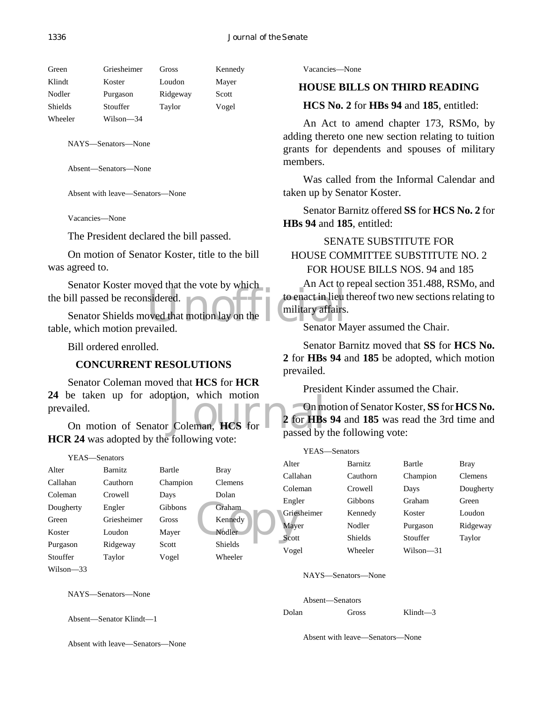| Green          | Griesheimer | Gross    | Kennedy |
|----------------|-------------|----------|---------|
| Klindt         | Koster      | Loudon   | Mayer   |
| Nodler         | Purgason    | Ridgeway | Scott   |
| <b>Shields</b> | Stouffer    | Taylor   | Vogel   |
| Wheeler        | Wilson—34   |          |         |

Absent—Senators—None

Absent with leave—Senators—None

Vacancies—None

The President declared the bill passed.

On motion of Senator Koster, title to the bill was agreed to.

Senator Koster moved that the vote by which the bill passed be reconsidered.

Sidered.<br>
Sidered.<br>
Senator Medicines in the total military affairs.<br>
Senator M Senator Shields moved that motion lay on the table, which motion prevailed.

Bill ordered enrolled.

## **CONCURRENT RESOLUTIONS**

be taken up for adoption, which motion<br>
ailed.<br>
On motion of Senator Coleman, **HCS** for  $\frac{2 \text{ for } \text{HBs}}{\text{passed by}}$ Senator Coleman moved that **HCS** for **HCR 24** be taken up for adoption, which motion prevailed.

**HCR 24** was adopted by the following vote:

| YEAS—Senators |                |          |                |               |
|---------------|----------------|----------|----------------|---------------|
| Alter         | <b>Barnitz</b> | Bartle   | <b>Bray</b>    | Alter         |
| Callahan      | Cauthorn       | Champion | <b>Clemens</b> | Calla<br>Cole |
| Coleman       | Crowell        | Days     | Dolan          |               |
| Dougherty     | Engler         | Gibbons  | Graham         | Engl<br>Gries |
| Green         | Griesheimer    | Gross    | Kennedy        | <b>May</b>    |
| Koster        | Loudon         | Mayer    | Nodler         | Scott         |
| Purgason      | Ridgeway       | Scott    | <b>Shields</b> | Voge          |
| Stouffer      | Taylor         | Vogel    | Wheeler        |               |
| Wilson—33     |                |          |                |               |

NAYS—Senators—None

Absent—Senator Klindt—1

Absent with leave—Senators—None

Vacancies—None

## **HOUSE BILLS ON THIRD READING**

**HCS No. 2** for **HBs 94** and **185**, entitled:

An Act to amend chapter 173, RSMo, by adding thereto one new section relating to tuition grants for dependents and spouses of military members.

Was called from the Informal Calendar and taken up by Senator Koster.

Senator Barnitz offered **SS** for **HCS No. 2** for **HBs 94** and **185**, entitled:

# SENATE SUBSTITUTE FOR HOUSE COMMITTEE SUBSTITUTE NO. 2 FOR HOUSE BILLS NOS. 94 and 185

An Act to repeal section 351.488, RSMo, and to enact in lieu thereof two new sections relating to military affairs.

Senator Mayer assumed the Chair.

Senator Barnitz moved that **SS** for **HCS No. 2** for **HBs 94** and **185** be adopted, which motion prevailed.

President Kinder assumed the Chair.

On motion of Senator Koster, **SS** for **HCS No. 2** for **HBs 94** and **185** was read the 3rd time and passed by the following vote:

| YEAS—Senators |             |                |           |           |
|---------------|-------------|----------------|-----------|-----------|
|               | Alter       | <b>Barnitz</b> | Bartle    | Bray      |
|               | Callahan    | Cauthorn       | Champion  | Clemens   |
|               | Coleman     | Crowell        | Days      | Dougherty |
|               | Engler      | Gibbons        | Graham    | Green     |
|               | Griesheimer | Kennedy        | Koster    | Loudon    |
|               | Mayer       | Nodler         | Purgason  | Ridgeway  |
|               | Scott       | Shields        | Stouffer  | Taylor    |
|               | Vogel       | Wheeler        | Wilson—31 |           |

NAYS—Senators—None

Absent—Senators

Dolan Gross Klindt—3

Absent with leave—Senators—None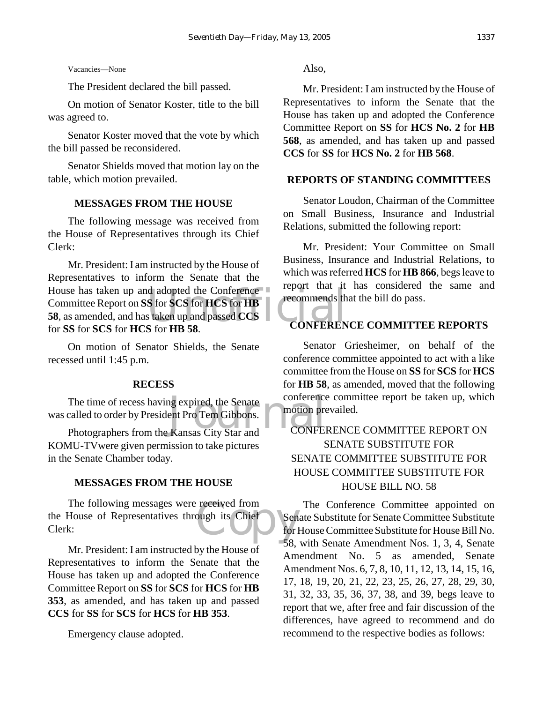Vacancies—None

The President declared the bill passed.

On motion of Senator Koster, title to the bill was agreed to.

Senator Koster moved that the vote by which the bill passed be reconsidered.

Senator Shields moved that motion lay on the table, which motion prevailed.

#### **MESSAGES FROM THE HOUSE**

The following message was received from the House of Representatives through its Chief Clerk:

d adopted the Conference<br>
S for SCS for HCS for HB<br>
s taken up and passed CCS<br>
S for HR 58<br>
CONFEREN Mr. President: I am instructed by the House of Representatives to inform the Senate that the House has taken up and adopted the Conference Committee Report on **SS** for **SCS** for **HCS** for **HB 58**, as amended, and has taken up and passed **CCS** for **SS** for **SCS** for **HCS** for **HB 58**.

On motion of Senator Shields, the Senate recessed until 1:45 p.m.

#### **RECESS**

The time of recess having expired, the Senate<br>
called to order by President Pro Tem Gibbons.<br>
Photographers from the Kansas City Star and CONFEI The time of recess having expired, the Senate was called to order by President Pro Tem Gibbons.

KOMU-TVwere given permission to take pictures in the Senate Chamber today.

#### **MESSAGES FROM THE HOUSE**

received from<br>
ough its Chief<br>
for l The following messages were received from the House of Representatives through its Chief Clerk:

Mr. President: I am instructed by the House  $\overline{of}$ Representatives to inform the Senate that the House has taken up and adopted the Conference Committee Report on **SS** for **SCS** for **HCS** for **HB 353**, as amended, and has taken up and passed **CCS** for **SS** for **SCS** for **HCS** for **HB 353**.

Emergency clause adopted.

Also,

Mr. President: I am instructed by the House of Representatives to inform the Senate that the House has taken up and adopted the Conference Committee Report on **SS** for **HCS No. 2** for **HB 568**, as amended, and has taken up and passed **CCS** for **SS** for **HCS No. 2** for **HB 568**.

#### **REPORTS OF STANDING COMMITTEES**

Senator Loudon, Chairman of the Committee on Small Business, Insurance and Industrial Relations, submitted the following report:

Mr. President: Your Committee on Small Business, Insurance and Industrial Relations, to which was referred **HCS** for **HB 866**, begs leave to report that it has considered the same and recommends that the bill do pass.

## **CONFERENCE COMMITTEE REPORTS**

Senator Griesheimer, on behalf of the conference committee appointed to act with a like committee from the House on **SS** for **SCS** for **HCS** for **HB 58**, as amended, moved that the following conference committee report be taken up, which motion prevailed.

# CONFERENCE COMMITTEE REPORT ON SENATE SUBSTITUTE FOR SENATE COMMITTEE SUBSTITUTE FOR HOUSE COMMITTEE SUBSTITUTE FOR HOUSE BILL NO. 58

The Conference Committee appointed on Senate Substitute for Senate Committee Substitute for House Committee Substitute for House Bill No. 58, with Senate Amendment Nos. 1, 3, 4, Senate Amendment No. 5 as amended, Senate Amendment Nos. 6, 7, 8, 10, 11, 12, 13, 14, 15, 16, 17, 18, 19, 20, 21, 22, 23, 25, 26, 27, 28, 29, 30, 31, 32, 33, 35, 36, 37, 38, and 39, begs leave to report that we, after free and fair discussion of the differences, have agreed to recommend and do recommend to the respective bodies as follows: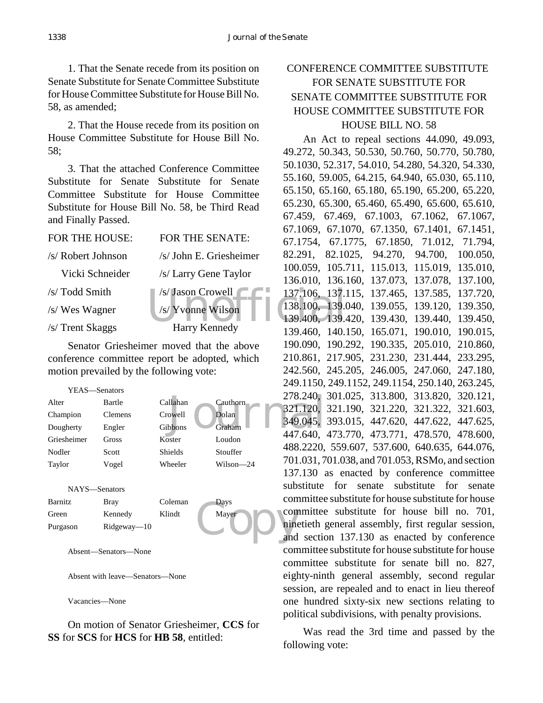1. That the Senate recede from its position on Senate Substitute for Senate Committee Substitute for House Committee Substitute for House Bill No. 58, as amended;

2. That the House recede from its position on House Committee Substitute for House Bill No. 58;

3. That the attached Conference Committee Substitute for Senate Substitute for Senate Committee Substitute for House Committee Substitute for House Bill No. 58, be Third Read and Finally Passed.

| FOR THE HOUSE:     | FOR THE SENATE:          | 67.1754, 67.1  |
|--------------------|--------------------------|----------------|
| /s/ Robert Johnson | /s/ John E. Griesheimer  | 82.291, 82.10  |
| Vicki Schneider    | /s/ Larry Gene Taylor    | 100.059, 105.7 |
|                    |                          | 136.010, 136.1 |
| /s/ Todd Smith     | $\sqrt{s}$ Jason Crowell | 137.106, 137.1 |
| /s/ Wes Wagner     | /s/ Yvonne Wilson        | 138.100, 139.0 |
|                    |                          | 139.400, 139.4 |
| /s/ Trent Skaggs   | Harry Kennedy            | 139.460, 140.1 |

Senator Griesheimer moved that the above conference committee report be adopted, which motion prevailed by the following vote:

|                 | YEAS—Senators  |          |           | 278.240,            |
|-----------------|----------------|----------|-----------|---------------------|
| Alter           | Bartle         | Callahan | Cauthorn  |                     |
| Champion        | <b>Clemens</b> | Crowell  | Dolan     | 321.120,            |
| Dougherty       | Engler         | Gibbons  | Graham    | 349.045,            |
| Griesheimer     | Gross          | Koster   | Loudon    | 447.640,            |
| Nodler          | Scott          | Shields  | Stouffer  | 488.2220,           |
| Taylor          | Vogel          | Wheeler  | Wilson-24 | 701.031,7           |
|                 |                |          |           | $137.130 \text{ s}$ |
| <b>ATA SZCI</b> |                |          |           | substitute          |

NAYS—Senators Barnitz Bray Coleman Days

| Green    | Kennedy        | Klindt | Mayer |
|----------|----------------|--------|-------|
| Purgason | $Rideway - 10$ |        |       |

Absent—Senators—None

Absent with leave—Senators—None

Vacancies—None

On motion of Senator Griesheimer, **CCS** for **SS** for **SCS** for **HCS** for **HB 58**, entitled:

# CONFERENCE COMMITTEE SUBSTITUTE FOR SENATE SUBSTITUTE FOR SENATE COMMITTEE SUBSTITUTE FOR HOUSE COMMITTEE SUBSTITUTE FOR HOUSE BILL NO. 58

Mayer Con An Act to repeal sections 44.090, 49.093, 49.272, 50.343, 50.530, 50.760, 50.770, 50.780, 50.1030, 52.317, 54.010, 54.280, 54.320, 54.330, 55.160, 59.005, 64.215, 64.940, 65.030, 65.110, 65.150, 65.160, 65.180, 65.190, 65.200, 65.220, 65.230, 65.300, 65.460, 65.490, 65.600, 65.610, 67.459, 67.469, 67.1003, 67.1062, 67.1067, 67.1069, 67.1070, 67.1350, 67.1401, 67.1451, 67.1754, 67.1775, 67.1850, 71.012, 71.794, 82.291, 82.1025, 94.270, 94.700, 100.050, 100.059, 105.711, 115.013, 115.019, 135.010, 136.010, 136.160, 137.073, 137.078, 137.100, 137.106, 137.115, 137.465, 137.585, 137.720, 138.100, 139.040, 139.055, 139.120, 139.350, 139.400, 139.420, 139.430, 139.440, 139.450, 139.460, 140.150, 165.071, 190.010, 190.015, 190.090, 190.292, 190.335, 205.010, 210.860, 210.861, 217.905, 231.230, 231.444, 233.295, 242.560, 245.205, 246.005, 247.060, 247.180, 249.1150, 249.1152, 249.1154, 250.140, 263.245, 278.240, 301.025, 313.800, 313.820, 320.121, 321.120, 321.190, 321.220, 321.322, 321.603, 349.045, 393.015, 447.620, 447.622, 447.625, 447.640, 473.770, 473.771, 478.570, 478.600, 488.2220, 559.607, 537.600, 640.635, 644.076, 701.031, 701.038, and 701.053, RSMo, and section 137.130 as enacted by conference committee substitute for senate substitute for senate committee substitute for house substitute for house committee substitute for house bill no. 701, ninetieth general assembly, first regular session, and section 137.130 as enacted by conference committee substitute for house substitute for house committee substitute for senate bill no. 827, eighty-ninth general assembly, second regular session, are repealed and to enact in lieu thereof one hundred sixty-six new sections relating to political subdivisions, with penalty provisions.

> Was read the 3rd time and passed by the following vote: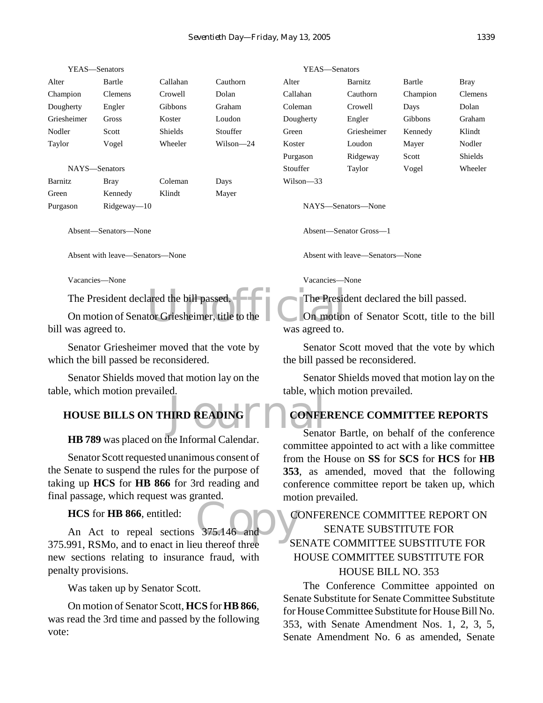Mayer

| YEAS—Senators |                |                |           |
|---------------|----------------|----------------|-----------|
| Alter         | Bartle         | Callahan       | Cauthorn  |
| Champion      | <b>Clemens</b> | Crowell        | Dolan     |
| Dougherty     | Engler         | Gibbons        | Graham    |
| Griesheimer   | Gross          | Koster         | Loudon    |
| Nodler        | Scott          | <b>Shields</b> | Stouffer  |
| Taylor        | Vogel          | Wheeler        | Wilson—24 |
|               |                |                |           |

NAYS—Senators

| Barnitz  | Bray           | Coleman | Days |
|----------|----------------|---------|------|
| Green    | Kennedy        | Klindt  | Maye |
| Purgason | $Rideway = 10$ |         |      |

Absent—Senators—None

Absent with leave—Senators—None

Vacancies—None

The President declared the bill passed.

ared the bill passed.<br>
for Griesheimer, title to the<br>
Was agreed to On motion of Senator Griesheimer, title to the bill was agreed to.

Senator Griesheimer moved that the vote by which the bill passed be reconsidered.

Senator Shields moved that motion lay on the table, which motion prevailed.

# **HIRD READING CONFE HOUSE BILLS ON THIRD READING**

**HB 789** was placed on the Informal Calendar.

Senator Scott requested unanimous consent of the Senate to suspend the rules for the purpose of taking up **HCS** for **HB 866** for 3rd reading and final passage, which request was granted.

**HCS** for **HB 866**, entitled:

HCS for HB 866, entitled:<br>An Act to repeal sections 375.146 and 375.991, RSMo, and to enact in lieu thereof three new sections relating to insurance fraud, with penalty provisions.

Was taken up by Senator Scott.

On motion of Senator Scott, **HCS** for **HB 866**, was read the 3rd time and passed by the following vote:

YEAS—Senators Alter Barnitz Bartle Bray

Callahan Cauthorn Champion Clemens Coleman Crowell Days Dolan Dougherty Engler Gibbons Graham Green Griesheimer Kennedy Klindt Koster Loudon Mayer Nodler Purgason Ridgeway Scott Shields Stouffer Taylor Vogel Wheeler Wilson—33

NAYS—Senators—None

Absent—Senator Gross—1

Absent with leave—Senators—None

Vacancies—None

The President declared the bill passed.

On motion of Senator Scott, title to the bill was agreed to.

Senator Scott moved that the vote by which the bill passed be reconsidered.

Senator Shields moved that motion lay on the table, which motion prevailed.

# **CONFERENCE COMMITTEE REPORTS**

Senator Bartle, on behalf of the conference committee appointed to act with a like committee from the House on **SS** for **SCS** for **HCS** for **HB 353**, as amended, moved that the following conference committee report be taken up, which motion prevailed.

# CONFERENCE COMMITTEE REPORT ON SENATE SUBSTITUTE FOR SENATE COMMITTEE SUBSTITUTE FOR HOUSE COMMITTEE SUBSTITUTE FOR HOUSE BILL NO. 353

The Conference Committee appointed on Senate Substitute for Senate Committee Substitute for House Committee Substitute for House Bill No. 353, with Senate Amendment Nos. 1, 2, 3, 5, Senate Amendment No. 6 as amended, Senate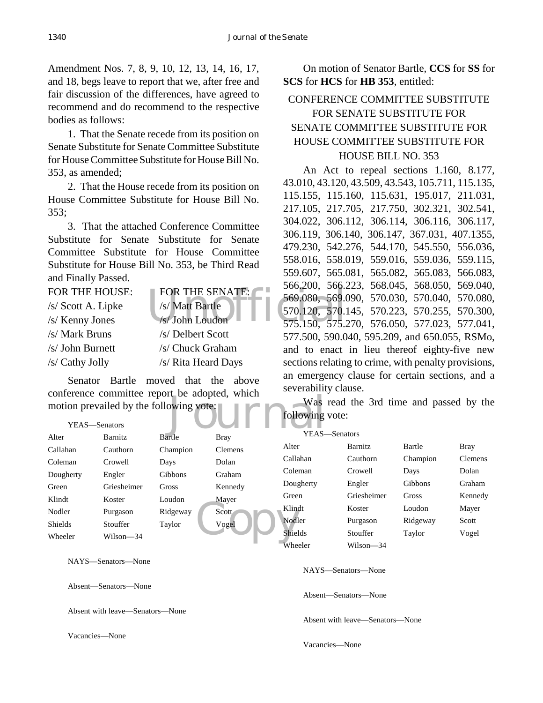Amendment Nos. 7, 8, 9, 10, 12, 13, 14, 16, 17, and 18, begs leave to report that we, after free and fair discussion of the differences, have agreed to recommend and do recommend to the respective bodies as follows:

1. That the Senate recede from its position on Senate Substitute for Senate Committee Substitute for House Committee Substitute for House Bill No. 353, as amended;

2. That the House recede from its position on House Committee Substitute for House Bill No. 353;

3. That the attached Conference Committee Substitute for Senate Substitute for Senate Committee Substitute for House Committee Substitute for House Bill No. 353, be Third Read and Finally Passed.

| FOR THE HOUSE:     | FOR THE SENATE:     | $JUU.LUU.$ $JUU.A$               |
|--------------------|---------------------|----------------------------------|
| /s/ Scott A. Lipke | /s/ Matt Bartle     | 569.080, 569.0<br>570.120, 570.1 |
| /s/ Kenny Jones    | /s/John Loudon      | 575.150, 575.2                   |
| /s/ Mark Bruns     | /s/ Delbert Scott   | 577.500, 590.0                   |
| /s/ John Burnett   | /s/ Chuck Graham    | and to enact                     |
| /s/ Cathy Jolly    | /s/ Rita Heard Days | sections relating                |

Senator Bartle moved that the above conference committee report be adopted, which motion prevailed by the following vote:

On motion of Senator Bartle, **CCS** for **SS** for **SCS** for **HCS** for **HB 353**, entitled:

# CONFERENCE COMMITTEE SUBSTITUTE FOR SENATE SUBSTITUTE FOR SENATE COMMITTEE SUBSTITUTE FOR HOUSE COMMITTEE SUBSTITUTE FOR HOUSE BILL NO. 353

An Act to repeal sections 1.160, 8.177, 43.010, 43.120, 43.509, 43.543, 105.711, 115.135, 115.155, 115.160, 115.631, 195.017, 211.031, 217.105, 217.705, 217.750, 302.321, 302.541, 304.022, 306.112, 306.114, 306.116, 306.117, 306.119, 306.140, 306.147, 367.031, 407.1355, 479.230, 542.276, 544.170, 545.550, 556.036, 558.016, 558.019, 559.016, 559.036, 559.115, 559.607, 565.081, 565.082, 565.083, 566.083, 566.200, 566.223, 568.045, 568.050, 569.040, 569.080, 569.090, 570.030, 570.040, 570.080, 570.120, 570.145, 570.223, 570.255, 570.300, 575.150, 575.270, 576.050, 577.023, 577.041, 577.500, 590.040, 595.209, and 650.055, RSMo, and to enact in lieu thereof eighty-five new sections relating to crime, with penalty provisions, an emergency clause for certain sections, and a severability clause.

|                                                                                    | comerence committee report be adopted, which |          |                |                 |                    |          |                |
|------------------------------------------------------------------------------------|----------------------------------------------|----------|----------------|-----------------|--------------------|----------|----------------|
| Was read the 3rd time and passed by the<br>motion prevailed by the following vote: |                                              |          |                |                 |                    |          |                |
|                                                                                    |                                              |          |                | following vote: |                    |          |                |
|                                                                                    | YEAS-Senators                                |          |                |                 |                    |          |                |
| Alter                                                                              | Barnitz                                      | Bartle   | <b>Bray</b>    | YEAS-Senators   |                    |          |                |
| Callahan                                                                           | Cauthorn                                     | Champion | <b>Clemens</b> | Alter           | Barnitz            | Bartle   | Bray           |
| Coleman                                                                            | Crowell                                      | Days     | Dolan          | Callahan        | Cauthorn           | Champion | <b>Clemens</b> |
| Dougherty                                                                          | Engler                                       | Gibbons  | Graham         | Coleman         | Crowell            | Days     | Dolan          |
| Green                                                                              | Griesheimer                                  | Gross    | Kennedy        | Dougherty       | Engler             | Gibbons  | Graham         |
| Klindt                                                                             | Koster                                       | Loudon   | Mayer          | Green           | Griesheimer        | Gross    | Kennedy        |
| Nodler                                                                             | Purgason                                     | Ridgeway | Scott          | Klindt          | Koster             | Loudon   | Mayer          |
| Shields                                                                            | Stouffer                                     | Taylor   | Vogel          | Nodler          | Purgason           | Ridgeway | Scott          |
| Wheeler                                                                            | Wilson-34                                    |          |                | <b>Shields</b>  | Stouffer           | Taylor   | Vogel          |
|                                                                                    |                                              |          |                | Wheeler         | Wilson-34          |          |                |
|                                                                                    | NAYS—Senators—None                           |          |                |                 |                    |          |                |
|                                                                                    |                                              |          |                |                 | NAYS—Senators—None |          |                |
|                                                                                    |                                              |          |                |                 |                    |          |                |

Absent—Senators—None

Absent with leave—Senators—None

Vacancies—None

Absent—Senators—None

Absent with leave—Senators—None

Vacancies—None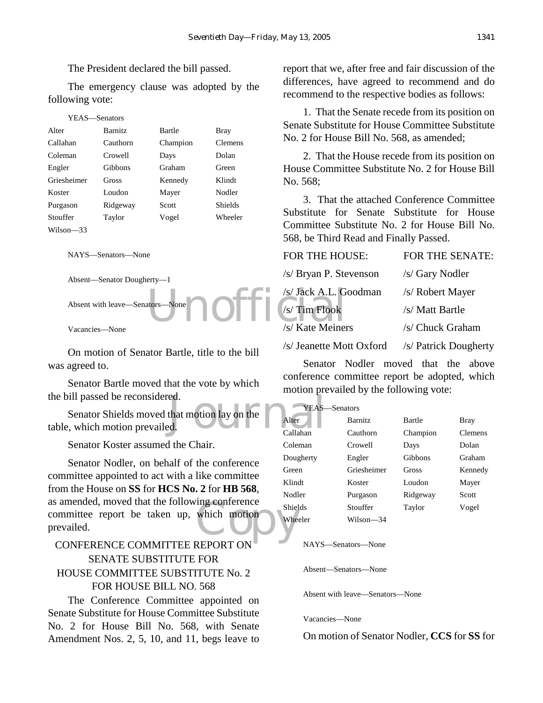The President declared the bill passed.

The emergency clause was adopted by the following vote:

| YEAS—Senators |                |               |                |  |
|---------------|----------------|---------------|----------------|--|
| Alter         | <b>Barnitz</b> | <b>Bartle</b> | Bray           |  |
| Callahan      | Cauthorn       | Champion      | <b>Clemens</b> |  |
| Coleman       | Crowell        | Days          | Dolan          |  |
| Engler        | Gibbons        | Graham        | Green          |  |
| Griesheimer   | Gross          | Kennedy       | Klindt         |  |
| Koster        | Loudon         | Mayer         | Nodler         |  |
| Purgason      | Ridgeway       | Scott         | Shields        |  |
| Stouffer      | Taylor         | Vogel         | Wheeler        |  |
| Wilson—33     |                |               |                |  |

NAYS—Senators—None

Absent—Senator Dougherty—1

Absent with leave—Senators—None

Vacancies—None

On motion of Senator Bartle, title to the bill was agreed to.

Senator Bartle moved that the vote by which the bill passed be reconsidered.

ed.<br>
that motion lay on the allahan YEAS-callahan Senator Shields moved that motion lay on the table, which motion prevailed.

Senator Koster assumed the Chair.

mg conterence<br>
which motion<br>
NEPOPE ON Senator Nodler, on behalf of the conference committee appointed to act with a like committee from the House on **SS** for **HCS No. 2** for **HB 568**, as amended, moved that the following conference committee report be taken up, which motion prevailed.

# CONFERENCE COMMITTEE REPORT ON SENATE SUBSTITUTE FOR HOUSE COMMITTEE SUBSTITUTE No. 2 FOR HOUSE BILL NO. 568

The Conference Committee appointed on Senate Substitute for House Committee Substitute No. 2 for House Bill No. 568, with Senate Amendment Nos. 2, 5, 10, and 11, begs leave to

report that we, after free and fair discussion of the differences, have agreed to recommend and do recommend to the respective bodies as follows:

1. That the Senate recede from its position on Senate Substitute for House Committee Substitute No. 2 for House Bill No. 568, as amended;

2. That the House recede from its position on House Committee Substitute No. 2 for House Bill No. 568;

3. That the attached Conference Committee Substitute for Senate Substitute for House Committee Substitute No. 2 for House Bill No. 568, be Third Read and Finally Passed.

| e                                                                                                                                                                                                                                    | <b>FOR THE HOUSE:</b>    | FOR THE SENATE:       |
|--------------------------------------------------------------------------------------------------------------------------------------------------------------------------------------------------------------------------------------|--------------------------|-----------------------|
| $erty-1$                                                                                                                                                                                                                             | /s/ Bryan P. Stevenson   | /s/ Gary Nodler       |
|                                                                                                                                                                                                                                      | /s/ Jack A.L. Goodman    | /s/ Robert Mayer      |
| ators—None <b>Containing the Containing Containing Containing Containing Containing Containing Containing Containing Containing Containing Containing Containing Containing Containing Containing Containing Containing Containi</b> |                          | /s/ Matt Bartle       |
|                                                                                                                                                                                                                                      | /s/ Kate Meiners         | /s/ Chuck Graham      |
|                                                                                                                                                                                                                                      | /s/ Jeanette Mott Oxford | /s/ Patrick Dougherty |

Senator Nodler moved that the above conference committee report be adopted, which motion prevailed by the following vote:

| YEAS:     | —Senators      |          |                |
|-----------|----------------|----------|----------------|
| Alter     | <b>Barnitz</b> | Bartle   | Bray           |
| Callahan  | Cauthorn       | Champion | <b>Clemens</b> |
| Coleman   | Crowell        | Days     | Dolan          |
| Dougherty | Engler         | Gibbons  | Graham         |
| Green     | Griesheimer    | Gross    | Kennedy        |
| Klindt    | Koster         | Loudon   | Mayer          |
| Nodler    | Purgason       | Ridgeway | Scott          |
| Shields   | Stouffer       | Taylor   | Vogel          |
| Wheeler   | Wilson—34      |          |                |

NAYS—Senators—None

Absent—Senators—None

Absent with leave—Senators—None

Vacancies—None

On motion of Senator Nodler, **CCS** for **SS** for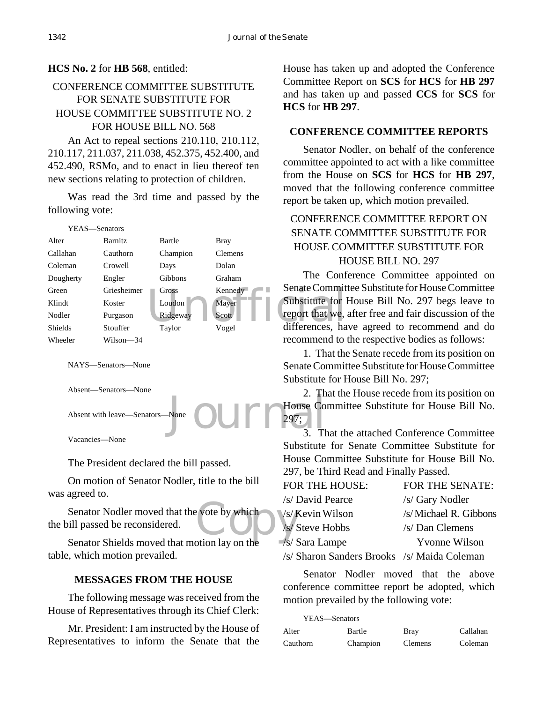# **HCS No. 2** for **HB 568**, entitled:

# CONFERENCE COMMITTEE SUBSTITUTE FOR SENATE SUBSTITUTE FOR HOUSE COMMITTEE SUBSTITUTE NO. 2 FOR HOUSE BILL NO. 568

An Act to repeal sections 210.110, 210.112, 210.117, 211.037, 211.038, 452.375, 452.400, and 452.490, RSMo, and to enact in lieu thereof ten new sections relating to protection of children.

Was read the 3rd time and passed by the following vote:



NAYS—Senators—None

Absent—Senators—None

Absent with leave-Senators

Vacancies—None

The President declared the bill passed.

On motion of Senator Nodler, title to the bill was agreed to.

 $\frac{c}{s}$  vote by which<br>  $\frac{s}{s}$ Senator Nodler moved that the vote by which the bill passed be reconsidered.

Senator Shields moved that motion lay on the table, which motion prevailed.

## **MESSAGES FROM THE HOUSE**

The following message was received from the House of Representatives through its Chief Clerk:

Mr. President: I am instructed by the House of Representatives to inform the Senate that the

House has taken up and adopted the Conference Committee Report on **SCS** for **HCS** for **HB 297** and has taken up and passed **CCS** for **SCS** for **HCS** for **HB 297**.

## **CONFERENCE COMMITTEE REPORTS**

Senator Nodler, on behalf of the conference committee appointed to act with a like committee from the House on **SCS** for **HCS** for **HB 297**, moved that the following conference committee report be taken up, which motion prevailed.

# CONFERENCE COMMITTEE REPORT ON SENATE COMMITTEE SUBSTITUTE FOR HOUSE COMMITTEE SUBSTITUTE FOR HOUSE BILL NO. 297

The Conference Committee appointed on Senate Committee Substitute for House Committee Substitute for House Bill No. 297 begs leave to report that we, after free and fair discussion of the differences, have agreed to recommend and do recommend to the respective bodies as follows:

1. That the Senate recede from its position on Senate Committee Substitute for House Committee Substitute for House Bill No. 297;

None  $\bigcirc$  UIII  $\bigcirc$  House Co 3. The Second Second Second Second Second Second Second Second Second Second Second Second Second Second Second Second Second Second Second Second Second Second Second Second Second Second S 2. That the House recede from its position on House Committee Substitute for House Bill No. 297;

3. That the attached Conference Committee Substitute for Senate Committee Substitute for House Committee Substitute for House Bill No. 297, be Third Read and Finally Passed.

| FOR THE HOUSE:                              | <b>FOR THE SENATE:</b> |
|---------------------------------------------|------------------------|
| /s/ David Pearce                            | /s/ Gary Nodler        |
| /s/Kevin Wilson                             | /s/Michael R. Gibbons  |
| /s/ Steve Hobbs                             | /s/ Dan Clemens        |
| /s/ Sara Lampe                              | <b>Yvonne Wilson</b>   |
| /s/ Sharon Sanders Brooks /s/ Maida Coleman |                        |

Senator Nodler moved that the above conference committee report be adopted, which motion prevailed by the following vote:

| YEAS—Senators |          |             |          |
|---------------|----------|-------------|----------|
| Alter         | Bartle   | <b>Bray</b> | Callahan |
| Cauthorn      | Champion | Clemens     | Coleman  |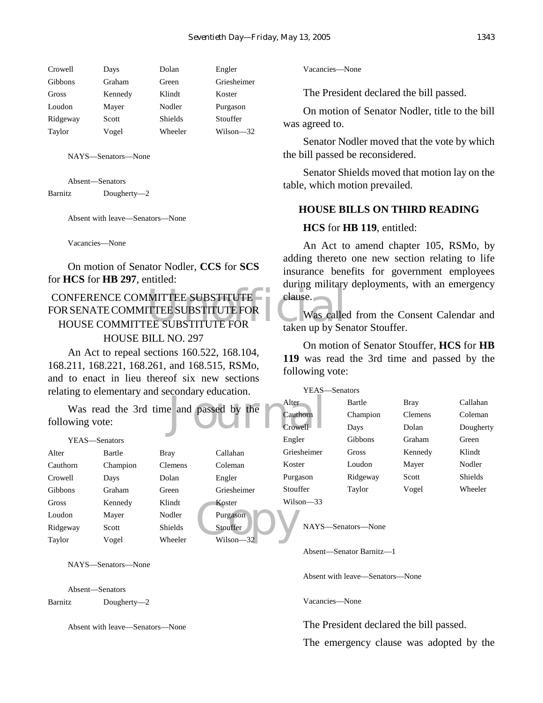| Days    | Dolan          | Engler      |
|---------|----------------|-------------|
| Graham  | Green          | Griesheimer |
| Kennedy | Klindt         | Koster      |
| Mayer   | Nodler         | Purgason    |
| Scott   | <b>Shields</b> | Stouffer    |
| Vogel   | Wheeler        | Wilson—32   |
|         |                |             |

Absent—Senators Barnitz Dougherty—2

Absent with leave—Senators—None

Vacancies—None

On motion of Senator Nodler, **CCS** for **SCS** for **HCS** for **HB 297**, entitled:

## MITTEE SUBSTITUTE<br>
TTEE SUBSTITUTE FOR
USE SUBSTITUTE FOR
USE SUBSTITUTE FOR
USE SUBSTITUTE FOR
USE CONFERENCE COMMITTEE SUBSTITUTE FOR SENATE COMMITTEE SUBSTITUTE FOR HOUSE COMMITTEE SUBSTITUTE FOR HOUSE BILL NO. 297

An Act to repeal sections 160.522, 168.104, 168.211, 168.221, 168.261, and 168.515, RSMo, and to enact in lieu thereof six new sections relating to

# YEAS-Alter Bartle Bray Callahan Cauthorn Crowell Gibbons Graham Green Griesheimer Gross Kennedy Klindt Koster Loudon **Ridgeway**

NAYS—Senators—None

Absent—Senators Barnitz Dougherty—2

Absent with leave—Senators—None

Vacancies—None

The President declared the bill passed.

On motion of Senator Nodler, title to the bill was agreed to.

Senator Nodler moved that the vote by which the bill passed be reconsidered.

Senator Shields moved that motion lay on the table, which motion prevailed.

#### **HOUSE BILLS ON THIRD READING**

#### **HCS** for **HB 119**, entitled:

An Act to amend chapter 105, RSMo, by adding thereto one new section relating to life insurance benefits for government employees during military deployments, with an emergency clause.

Was called from the Consent Calendar and taken up by Senator Stouffer.

On motion of Senator Stouffer, **HCS** for **HB 119** was read the 3rd time and passed by the following vote:

|                 |          | relating to elementary and secondary education. |                                         | YEAS—Senators |                    |                |                |
|-----------------|----------|-------------------------------------------------|-----------------------------------------|---------------|--------------------|----------------|----------------|
|                 |          |                                                 |                                         | Alter         | Bartle             | <b>Bray</b>    | Callahan       |
|                 |          |                                                 | Was read the 3rd time and passed by the | Cauthorn      | Champion           | <b>Clemens</b> | Coleman        |
| following vote: |          |                                                 |                                         | Crowell-      | Days               | Dolan          | Dougherty      |
| YEAS—Senators   |          |                                                 |                                         | Engler        | Gibbons            | Graham         | Green          |
| Alter           | Bartle   | <b>Bray</b>                                     | Callahan                                | Griesheimer   | Gross              | Kennedy        | Klindt         |
| Cauthorn        | Champion | <b>Clemens</b>                                  | Coleman                                 | Koster        | Loudon             | Mayer          | Nodler         |
| Crowell         | Days     | Dolan                                           | Engler                                  | Purgason      | Ridgeway           | Scott          | <b>Shields</b> |
| Gibbons         | Graham   | Green                                           | Griesheimer                             | Stouffer      | Taylor             | Vogel          | Wheeler        |
| Gross           | Kennedy  | Klindt                                          | Koster                                  | Wilson $-33$  |                    |                |                |
| Loudon          | Mayer    | Nodler                                          | Purgason                                |               |                    |                |                |
| Ridgeway        | Scott    | Shields                                         | Stouffer                                |               | NAYS—Senators—None |                |                |
| Taylor          | Vogel    | Wheeler                                         | $Wilson - 32$                           |               |                    |                |                |

Absent—Senator Barnitz—1

Absent with leave—Senators—None

Vacancies—None

The President declared the bill passed.

The emergency clause was adopted by the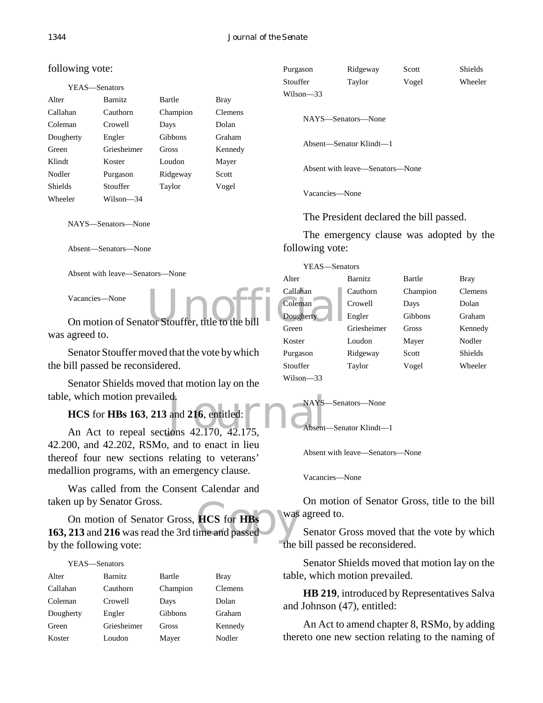| YEAS—Senators |                |          |                |
|---------------|----------------|----------|----------------|
|               |                |          |                |
| Alter         | <b>Barnitz</b> | Bartle   | <b>Bray</b>    |
| Callahan      | Cauthorn       | Champion | <b>Clemens</b> |
| Coleman       | Crowell        | Days     | Dolan          |
| Dougherty     | Engler         | Gibbons  | Graham         |
| Green         | Griesheimer    | Gross    | Kennedy        |
| Klindt        | Koster         | Loudon   | Mayer          |
| Nodler        | Purgason       | Ridgeway | Scott          |
| Shields       | Stouffer       | Taylor   | Vogel          |
| Wheeler       | Wilson—34      |          |                |

Absent—Senators—None

was agreed to.

Senator Stouffer moved that the vote by which the bill passed be reconsidered.

Senator Shields moved that motion lay on the table, which motion prevailed.

**HCS** for **HBs 163**, **213** and **216**, entitled:

which motion prevailed.<br> **HCS** for **HBs 163, 213** and **216**, entitled: NAYS-<br>
An Act to repeal sections 42.170, 42.175, 42.200, and 42.202, RSMo, and to enact in lieu thereof four new sections relating to veterans' medallion programs, with an emergency clause.

Was called from the Consent Calendar and taken up by Senator Gross.

taken up by Senator Gross.<br>
On motion of Senator Gross, **HCS** for **HBs**<br> **163, 213** and **216** was read the 3rd time and passed On motion of Senator Gross, **HCS** for **HBs** by the following vote:

#### YEAS—Senators

| Alter     | <b>Barnitz</b> | Bartle   | Bray    |
|-----------|----------------|----------|---------|
| Callahan  | Cauthorn       | Champion | Clemens |
| Coleman   | Crowell        | Days     | Dolan   |
| Dougherty | Engler         | Gibbons  | Graham  |
| Green     | Griesheimer    | Gross    | Kennedy |
| Koster    | Loudon         | Mayer    | Nodler  |

| Purgason  | Ridgeway | Scott | <b>Shields</b> |
|-----------|----------|-------|----------------|
| Stouffer  | Taylor   | Vogel | Wheeler        |
| Wilson—33 |          |       |                |
|           |          |       |                |

NAYS—Senators—None

Absent—Senator Klindt—1

Absent with leave—Senators—None

Vacancies—None

The President declared the bill passed.

The emergency clause was adopted by the following vote:

|                                                  | YEAS-Senators              |             |                |                |
|--------------------------------------------------|----------------------------|-------------|----------------|----------------|
| Absent with leave—Senators—None                  | Alter                      | Barnitz     | Bartle         | <b>Bray</b>    |
| Vacancies—None                                   | Callahan                   | Cauthorn    | Champion       | Clemens        |
|                                                  | Coleman<br>Crowell<br>Days |             |                | Dolan          |
| On motion of Senator Stouffer, title to the bill | Dougherty                  | Engler      | <b>Gibbons</b> | Graham         |
| agreed to.                                       | Green                      | Griesheimer | Gross          | Kennedy        |
|                                                  | Koster                     | Loudon      | Mayer          | Nodler         |
| Senator Stouffer moved that the vote by which    | Purgason                   | Ridgeway    | Scott          | <b>Shields</b> |
| ill passed be reconsidered.                      | Stouffer                   | Taylor      | Vogel          | Wheeler        |
| Sonator Shields moved that motion lay on the     | $Wilson - 33$              |             |                |                |

NAYS—Senators—None Absent—Senator Klindt—1

Absent with leave—Senators—None

Vacancies—None

On motion of Senator Gross, title to the bill was agreed to.

Senator Gross moved that the vote by which the bill passed be reconsidered.

Senator Shields moved that motion lay on the table, which motion prevailed.

**HB 219**, introduced by Representatives Salva and Johnson (47), entitled:

An Act to amend chapter 8, RSMo, by adding thereto one new section relating to the naming of

# following vote: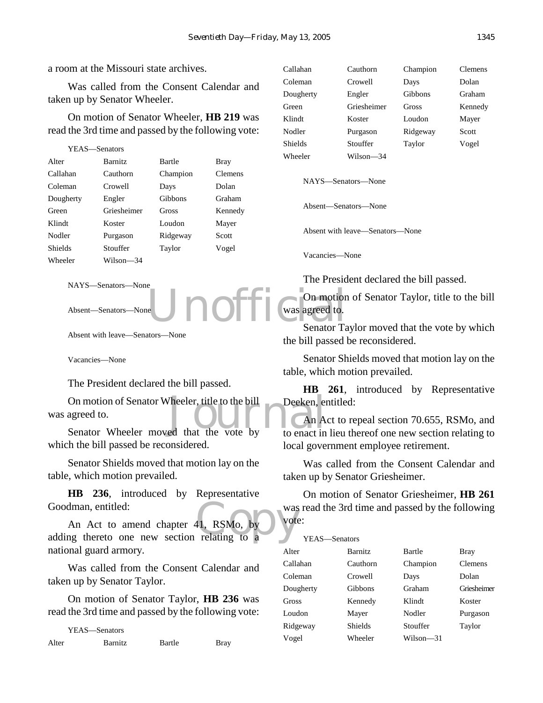a room at the Missouri state archives.

Was called from the Consent Calendar and taken up by Senator Wheeler.

On motion of Senator Wheeler, **HB 219** was read the 3rd time and passed by the following vote:

| YEAS—Senators  |                |          |                |  |
|----------------|----------------|----------|----------------|--|
| Alter          | <b>Barnitz</b> | Bartle   | Bray           |  |
| Callahan       | Cauthorn       | Champion | <b>Clemens</b> |  |
| Coleman        | Crowell        | Days     | Dolan          |  |
| Dougherty      | Engler         | Gibbons  | Graham         |  |
| Green          | Griesheimer    | Gross    | Kennedy        |  |
| Klindt         | Koster         | Loudon   | Mayer          |  |
| Nodler         | Purgason       | Ridgeway | Scott          |  |
| <b>Shields</b> | Stouffer       | Taylor   | Vogel          |  |
| Wheeler        | Wilson—34      |          |                |  |
|                |                |          |                |  |

NAYS—Senators—None

Absent—Senators—None

Absent with leave—Senators—None

Vacancies—None

The President declared the bill passed.

On motion of Senator Wheeler, title to the bill<br>
Senator Wheeler moved that the vote by<br>
to enact in was agreed to.

Senator Wheeler moved that the vote by which the bill passed be reconsidered.

Senator Shields moved that motion lay on the table, which motion prevailed.

**HB 236**, introduced by Representative Goodman, entitled:

was<br>
11, RSMo, by<br>
relating to a An Act to amend chapter 41, RSMo, by adding thereto one new section relating to a national guard armory.

Was called from the Consent Calendar and taken up by Senator Taylor.

On motion of Senator Taylor, **HB 236** was read the 3rd time and passed by the following vote:

YEAS—Senators Alter Barnitz Bartle Bray

| Callahan  | Cauthorn    | Champion | <b>Clemens</b> |
|-----------|-------------|----------|----------------|
| Coleman   | Crowell     | Days     | Dolan          |
| Dougherty | Engler      | Gibbons  | Graham         |
| Green     | Griesheimer | Gross    | Kennedy        |
| Klindt    | Koster      | Loudon   | Mayer          |
| Nodler    | Purgason    | Ridgeway | Scott          |
| Shields   | Stouffer    | Taylor   | Vogel          |
| Wheeler   | Wilson—34   |          |                |

NAYS—Senators—None

Absent—Senators—None

Absent with leave—Senators—None

Vacancies—None

 $V\Gamma\Lambda S$   $S$  enators

The President declared the bill passed.

eUnofficial Chamotion On motion of Senator Taylor, title to the bill was agreed to.

Senator Taylor moved that the vote by which the bill passed be reconsidered.

Senator Shields moved that motion lay on the table, which motion prevailed.

**HB 261**, introduced by Representative Deeken, entitled:

An Act to repeal section 70.655, RSMo, and to enact in lieu thereof one new section relating to local government employee retirement.

Was called from the Consent Calendar and taken up by Senator Griesheimer.

On motion of Senator Griesheimer, **HB 261** was read the 3rd time and passed by the following vote:

| 1 Г.А.) — ЭСПАШЬ |                |           |                |
|------------------|----------------|-----------|----------------|
| Alter            | <b>Barnitz</b> | Bartle    | Bray           |
| Callahan         | Cauthorn       | Champion  | <b>Clemens</b> |
| Coleman          | Crowell        | Days      | Dolan          |
| Dougherty        | <b>Gibbons</b> | Graham    | Griesheimer    |
| Gross            | Kennedy        | Klindt    | Koster         |
| Loudon           | Mayer          | Nodler    | Purgason       |
| Ridgeway         | Shields        | Stouffer  | Taylor         |
| Vogel            | Wheeler        | Wilson—31 |                |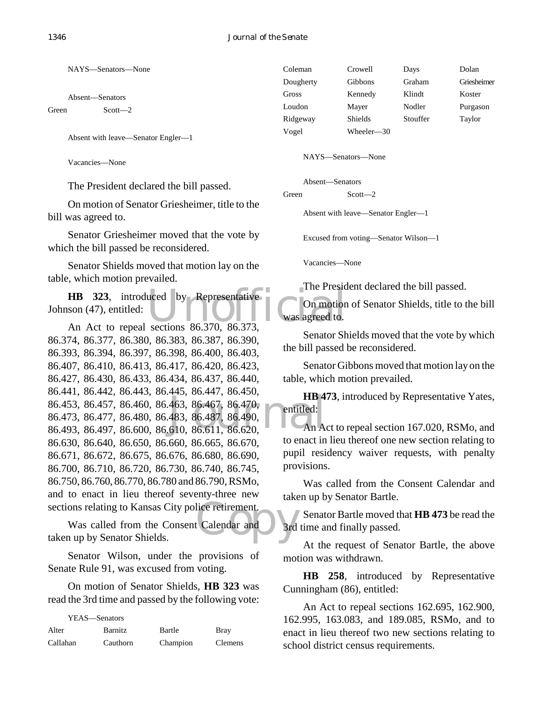Absent—Senators

Green Scott—2

Absent with leave—Senator Engler—1

Vacancies—None

The President declared the bill passed.

On motion of Senator Griesheimer, title to the bill was agreed to.

Senator Griesheimer moved that the vote by which the bill passed be reconsidered.

Senator Shields moved that motion lay on the table, which motion prevailed.

**HB 323**, introduced by Representative<br>
son (47), entitled: On motion<br>
An Act to repeal sections 86.370, 86.373. Johnson (47), entitled:

463, 86.467, 86.470,<br>483, 86.487, 86.490,<br>610, 86.611, 86.620, An Act to repeal sections 86.370, 86.373, 86.374, 86.377, 86.380, 86.383, 86.387, 86.390, 86.393, 86.394, 86.397, 86.398, 86.400, 86.403, 86.407, 86.410, 86.413, 86.417, 86.420, 86.423, 86.427, 86.430, 86.433, 86.434, 86.437, 86.440, 86.441, 86.442, 86.443, 86.445, 86.447, 86.450, 86.453, 86.457, 86.460, 86.463, 86.467, 86.470, 86.473, 86.477, 86.480, 86.483, 86.487, 86.490, 86.493, 86.497, 86.600, 86.610, 86.611, 86.620, 86.630, 86.640, 86.650, 86.660, 86.665, 86.670, 86.671, 86.672, 86.675, 86.676, 86.680, 86.690, 86.700, 86.710, 86.720, 86.730, 86.740, 86.745, 86.750, 86.760, 86.770, 86.780 and 86.790, RSMo, and to enact in lieu thereof seventy-three new

sections relating to Kansas City police retirement.<br>
Was called from the Consent Calendar and<br>
taken up by Senator Shields. Was called from the Consent Calendar and taken up by Senator Shields.

Senator Wilson, under the provisions of Senate Rule 91, was excused from voting.

On motion of Senator Shields, **HB 323** was read the 3rd time and passed by the following vote:

| YEAS—Senators |                |          |                |
|---------------|----------------|----------|----------------|
| Alter         | <b>Barnitz</b> | Bartle   | <b>Bray</b>    |
| Callahan      | Cauthorn       | Champion | <b>Clemens</b> |

| Coleman   | Crowell        | Days     | Dolan       |
|-----------|----------------|----------|-------------|
| Dougherty | Gibbons        | Graham   | Griesheimer |
| Gross     | Kennedy        | Klindt   | Koster      |
| Loudon    | Mayer          | Nodler   | Purgason    |
| Ridgeway  | <b>Shields</b> | Stouffer | Taylor      |
| Vogel     | Wheeler—30     |          |             |

NAYS—Senators—None

Absent—Senators

Green Scott-2

Absent with leave—Senator Engler—1

Excused from voting—Senator Wilson—1

Vacancies—None

The President declared the bill passed.

On motion of Senator Shields, title to the bill was agreed to.

Senator Shields moved that the vote by which the bill passed be reconsidered.

Senator Gibbons moved that motion lay on the table, which motion prevailed.

**HB 473**, introduced by Representative Yates, entitled:

An Act to repeal section 167.020, RSMo, and to enact in lieu thereof one new section relating to pupil residency waiver requests, with penalty provisions.

Was called from the Consent Calendar and taken up by Senator Bartle.

Senator Bartle moved that **HB 473** be read the 3rd time and finally passed.

At the request of Senator Bartle, the above motion was withdrawn.

**HB 258**, introduced by Representative Cunningham (86), entitled:

An Act to repeal sections 162.695, 162.900, 162.995, 163.083, and 189.085, RSMo, and to enact in lieu thereof two new sections relating to school district census requirements.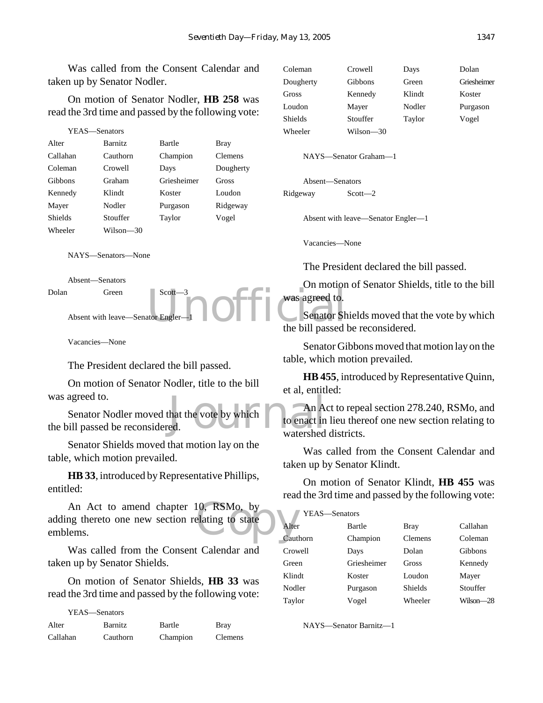Was called from the Consent Calendar and taken up by Senator Nodler.

On motion of Senator Nodler, **HB 258** was read the 3rd time and passed by the following vote:

| YEAS—Senators |                |             |                |
|---------------|----------------|-------------|----------------|
| Alter         | <b>Barnitz</b> | Bartle      | Bray           |
| Callahan      | Cauthorn       | Champion    | <b>Clemens</b> |
| Coleman       | Crowell        | Days        | Dougherty      |
| Gibbons       | Graham         | Griesheimer | Gross          |
| Kennedy       | Klindt         | Koster      | Loudon         |
| Mayer         | Nodler         | Purgason    | Ridgeway       |
| Shields       | Stouffer       | Taylor      | Vogel          |
| Wheeler       | Wilson—30      |             |                |
|               |                |             |                |

NAYS—Senators—None

Absent—Senators Dolan Green Scott—3

Absent with leave—Senator Engler

Vacancies—None

YEAS—Senators

The President declared the bill passed.

On motion of Senator Nodler, title to the bill was agreed to.

that the vote by which to enact in<br>ed. Senator Nodler moved that the vote by which the bill passed be reconsidered.

Senator Shields moved that motion lay on the table, which motion prevailed.

**HB 33**, introduced by Representative Phillips, entitled:

10, RSMo, by<br>elating to state Alter An Act to amend chapter 10, RSMo, by adding thereto one new section relating to state emblems.

Was called from the Consent Calendar and taken up by Senator Shields.

On motion of Senator Shields, **HB 33** was read the 3rd time and passed by the following vote:

| 1 LAS—Senators |                |          |                |
|----------------|----------------|----------|----------------|
| Alter          | <b>Barnitz</b> | Bartle   | <b>Bray</b>    |
| Callahan       | Cauthorn       | Champion | <b>Clemens</b> |

| Coleman   | Crowell   | Days   | Dolan       |
|-----------|-----------|--------|-------------|
| Dougherty | Gibbons   | Green  | Griesheimer |
| Gross     | Kennedy   | Klindt | Koster      |
| Loudon    | Mayer     | Nodler | Purgason    |
| Shields   | Stouffer  | Taylor | Vogel       |
| Wheeler   | Wilson—30 |        |             |

NAYS—Senator Graham—1

Absent—Senators Ridgeway Scott—2

Absent with leave—Senator Engler—1

Vacancies—None

The President declared the bill passed.

On motion of Senator Shields, title to the bill was agreed to.

Scott-3<br>ator Engler-1<br>Departure of the bill passed Senator Shields moved that the vote by which the bill passed be reconsidered.

> Senator Gibbons moved that motion lay on the table, which motion prevailed.

> **HB 455**, introduced by Representative Quinn, et al, entitled:

> An Act to repeal section 278.240, RSMo, and to enact in lieu thereof one new section relating to watershed districts.

> Was called from the Consent Calendar and taken up by Senator Klindt.

> On motion of Senator Klindt, **HB 455** was read the 3rd time and passed by the following vote:

| YEAS-Senators |             |                |           |
|---------------|-------------|----------------|-----------|
| Alter         | Bartle      | <b>Bray</b>    | Callahan  |
| Cauthorn      | Champion    | Clemens        | Coleman   |
| Crowell       | Days        | Dolan          | Gibbons   |
| Green         | Griesheimer | Gross          | Kennedy   |
| Klindt        | Koster      | Loudon         | Mayer     |
| Nodler        | Purgason    | <b>Shields</b> | Stouffer  |
| Taylor        | Vogel       | Wheeler        | Wilson—28 |

NAYS—Senator Barnitz—1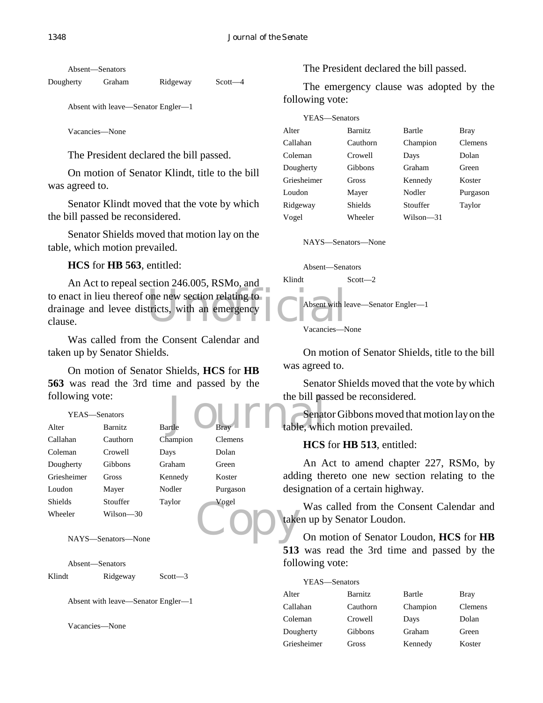Absent—Senators

Dougherty Graham Ridgeway Scott—4

Absent with leave—Senator Engler—1

Vacancies—None

The President declared the bill passed.

On motion of Senator Klindt, title to the bill was agreed to.

Senator Klindt moved that the vote by which the bill passed be reconsidered.

Senator Shields moved that motion lay on the table, which motion prevailed.

## **HCS** for **HB 563**, entitled:

to enact in lieu thereof one new section relating to<br>drainage and levee districts, with an emergency An Act to repeal section 246.005, RSMo, and drainage and levee districts, with an emergency clause.

Was called from the Consent Calendar and taken up by Senator Shields.

On motion of Senator Shields, **HCS** for **HB 563** was read the 3rd time and passed by the following vote:

## YEAS—Senators

| following vote: |                    |               |             | the bill pas |
|-----------------|--------------------|---------------|-------------|--------------|
|                 | YEAS—Senators      |               |             | Senat        |
| Alter           | Barnitz            | <b>Bartle</b> | <b>Brav</b> | table, whic  |
| Callahan        | Cauthorn           | Champion      | Clemens     | <b>HCS</b>   |
| Coleman         | Crowell            | Days          | Dolan       |              |
| Dougherty       | Gibbons            | Graham        | Green       | An A         |
| Griesheimer     | Gross              | Kennedy       | Koster      | adding the   |
| Loudon          | Mayer              | Nodler        | Purgason    | designatio   |
| <b>Shields</b>  | Stouffer           | Taylor        | Vogel       | Was          |
| Wheeler         | Wilson-30          |               |             | taken up b   |
|                 |                    |               |             |              |
|                 | NAYS—Senators—None |               |             | On m         |

Absent—Senators

Klindt Ridgeway Scott-3

Absent with leave—Senator Engler—1

Vacancies—None

The President declared the bill passed.

The emergency clause was adopted by the following vote:

| YEAS-Senators |                |           |                |
|---------------|----------------|-----------|----------------|
| Alter         | <b>Barnitz</b> | Bartle    | Bray           |
| Callahan      | Cauthorn       | Champion  | <b>Clemens</b> |
| Coleman       | Crowell        | Days      | Dolan          |
| Dougherty     | Gibbons        | Graham    | Green          |
| Griesheimer   | Gross          | Kennedy   | Koster         |
| Loudon        | Mayer          | Nodler    | Purgason       |
| Ridgeway      | Shields        | Stouffer  | Taylor         |
| Vogel         | Wheeler        | Wilson-31 |                |

NAYS—Senators—None

Absent—Senators Klindt Scott—2 Absent with leave—Senator Engler—1 Vacancies—None

On motion of Senator Shields, title to the bill was agreed to.

Senator Shields moved that the vote by which the bill passed be reconsidered.

Senator Gibbons moved that motion lay on the table, which motion prevailed.

## **HCS** for **HB 513**, entitled:

An Act to amend chapter 227, RSMo, by adding thereto one new section relating to the designation of a certain highway.

Was called from the Consent Calendar and taken up by Senator Loudon.

On motion of Senator Loudon, **HCS** for **HB 513** was read the 3rd time and passed by the following vote:

| YEAS-Senators |                |          |             |
|---------------|----------------|----------|-------------|
| Alter         | <b>Barnitz</b> | Bartle   | <b>Bray</b> |
| Callahan      | Cauthorn       | Champion | Clemens     |
| Coleman       | Crowell        | Days     | Dolan       |
| Dougherty     | Gibbons        | Graham   | Green       |
| Griesheimer   | Gross          | Kennedy  | Koster      |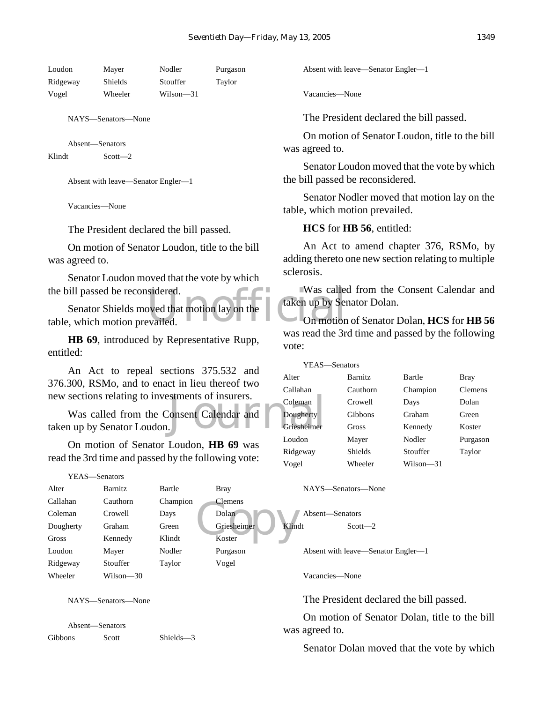| Loudon   | Mayer   | Nodler    | Purgason |
|----------|---------|-----------|----------|
| Ridgeway | Shields | Stouffer  | Taylor   |
| Vogel    | Wheeler | Wilson—31 |          |

Absent—Senators Klindt Scott-2

Absent with leave—Senator Engler—1

Vacancies—None

The President declared the bill passed.

On motion of Senator Loudon, title to the bill was agreed to.

Senator Loudon moved that the vote by which the bill passed be reconsidered.

Sidered.<br>
Was called<br>
Evailed.<br>
Was called<br>
Unit of the Unit of the Unit of the Unit of the Unit of the Unit of the Unit<br>
Unit of the Unit of the Unit of the Unit of the Unit of the Unit of the Unit<br>
Unit of the Unit of th Senator Shields moved that motion lay on the table, which motion prevailed.

**HB 69**, introduced by Representative Rupp, entitled:

An Act to repeal sections 375.532 and 376.300, RSMo, and to enact in lieu thereof two new sections relating to investments of insurers.

Suments of insurers.<br>
Coleman Consent Calendar and Dougherty<br>
Griesheimer Was called from the Consent Calendar and taken up by Senator Loudon.

On motion of Senator Loudon, **HB 69** was read the 3rd time and passed by the following vote:

YEAS—Senators

| Alter     | <b>Barnitz</b> | Bartle   | <b>Bray</b>    |
|-----------|----------------|----------|----------------|
| Callahan  | Cauthorn       | Champion | <b>Clemens</b> |
| Coleman   | Crowell        | Days     | Dolan          |
| Dougherty | Graham         | Green    | Griesheimer    |
| Gross     | Kennedy        | Klindt   | Koster         |
| Loudon    | Mayer          | Nodler   | Purgason       |
| Ridgeway  | Stouffer       | Taylor   | Vogel          |
| Wheeler   | Wilson—30      |          |                |
|           |                |          |                |

NAYS—Senators—None

Absent—Senators Gibbons Scott Shields—3 Absent with leave—Senator Engler—1

Vacancies—None

The President declared the bill passed.

On motion of Senator Loudon, title to the bill was agreed to.

Senator Loudon moved that the vote by which the bill passed be reconsidered.

Senator Nodler moved that motion lay on the table, which motion prevailed.

#### **HCS** for **HB 56**, entitled:

An Act to amend chapter 376, RSMo, by adding thereto one new section relating to multiple sclerosis.

Was called from the Consent Calendar and taken up by Senator Dolan.

On motion of Senator Dolan, **HCS** for **HB 56** was read the 3rd time and passed by the following vote:

YEAS—Senators Alter Barnitz Bartle Bray Callahan Cauthorn Champion Clemens Coleman Crowell Days Dolan Dougherty Gibbons Graham Green Griesheimer Gross Kennedy Koster Loudon Mayer Nodler Purgason Ridgeway Shields Stouffer Taylor Vogel Wheeler Wilson—31

NAYS—Senators—None

Clemens<br>
Dolan<br>
Griesheimer<br>
Koster Absent—Senators Klindt Scott-2

Absent with leave—Senator Engler—1

Vacancies—None

The President declared the bill passed.

On motion of Senator Dolan, title to the bill was agreed to.

Senator Dolan moved that the vote by which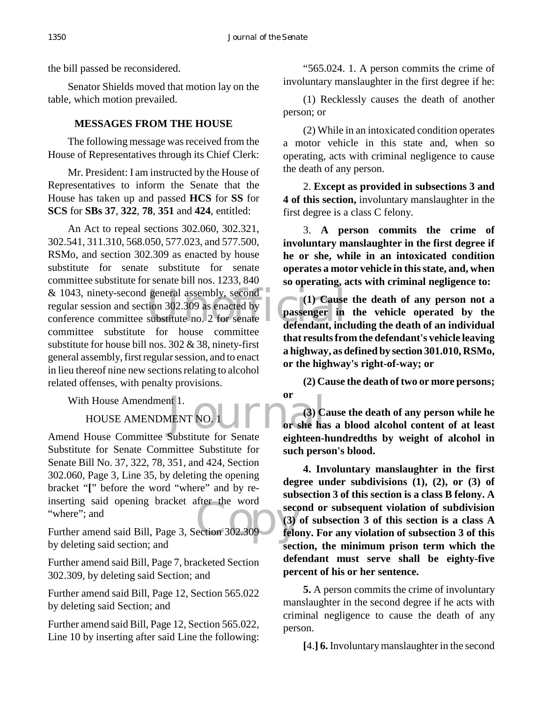the bill passed be reconsidered.

Senator Shields moved that motion lay on the table, which motion prevailed.

# **MESSAGES FROM THE HOUSE**

The following message was received from the House of Representatives through its Chief Clerk:

Mr. President: I am instructed by the House of Representatives to inform the Senate that the House has taken up and passed **HCS** for **SS** for **SCS** for **SBs 37**, **322**, **78**, **351** and **424**, entitled:

& 1043, ninety-second general assembly, second<br>
regular session and section 302.309 as enacted by<br>
conference committee substitute no. 2 for senate<br>
defendant, inc An Act to repeal sections 302.060, 302.321, 302.541, 311.310, 568.050, 577.023, and 577.500, RSMo, and section 302.309 as enacted by house substitute for senate substitute for senate committee substitute for senate bill nos. 1233, 840 regular session and section 302.309 as enacted by conference committee substitute no. 2 for senate committee substitute for house committee substitute for house bill nos. 302 & 38, ninety-first general assembly, first regular session, and to enact in lieu thereof nine new sections relating to alcohol related offenses, with penalty provisions.

With House Amendment 1.

HOUSE AMENDMENT NO. 1

mserting said opening bracket after the word<br>
"where"; and<br>
Further amend said Bill, Page 3, Section 302.309<br>
tele Amend House Committee Substitute for Senate Substitute for Senate Committee Substitute for Senate Bill No. 37, 322, 78, 351, and 424, Section 302.060, Page 3, Line 35, by deleting the opening bracket "**[**" before the word "where" and by reinserting said opening bracket after the word "where": and

by deleting said section; and

Further amend said Bill, Page 7, bracketed Section 302.309, by deleting said Section; and

Further amend said Bill, Page 12, Section 565.022 by deleting said Section; and

Further amend said Bill, Page 12, Section 565.022, Line 10 by inserting after said Line the following:

"565.024. 1. A person commits the crime of involuntary manslaughter in the first degree if he:

(1) Recklessly causes the death of another person; or

(2) While in an intoxicated condition operates a motor vehicle in this state and, when so operating, acts with criminal negligence to cause the death of any person.

2. **Except as provided in subsections 3 and 4 of this section,** involuntary manslaughter in the first degree is a class C felony.

3. **A person commits the crime of involuntary manslaughter in the first degree if he or she, while in an intoxicated condition operates a motor vehicle in this state, and, when so operating, acts with criminal negligence to:**

**(1) Cause the death of any person not a passenger in the vehicle operated by the defendant, including the death of an individual that results from the defendant's vehicle leaving a highway, as defined by section 301.010, RSMo, or the highway's right-of-way; or**

**(2) Cause the death of two or more persons; or**

at I.<br>MENT NO. 1 **Contract 1** Or she has **(3) Cause the death of any person while he or she has a blood alcohol content of at least eighteen-hundredths by weight of alcohol in such person's blood.**

> **4. Involuntary manslaughter in the first degree under subdivisions (1), (2), or (3) of subsection 3 of this section is a class B felony. A second or subsequent violation of subdivision (3) of subsection 3 of this section is a class A felony. For any violation of subsection 3 of this section, the minimum prison term which the defendant must serve shall be eighty-five percent of his or her sentence.**

> **5.** A person commits the crime of involuntary manslaughter in the second degree if he acts with criminal negligence to cause the death of any person.

**[**4.**] 6.** Involuntary manslaughter in the second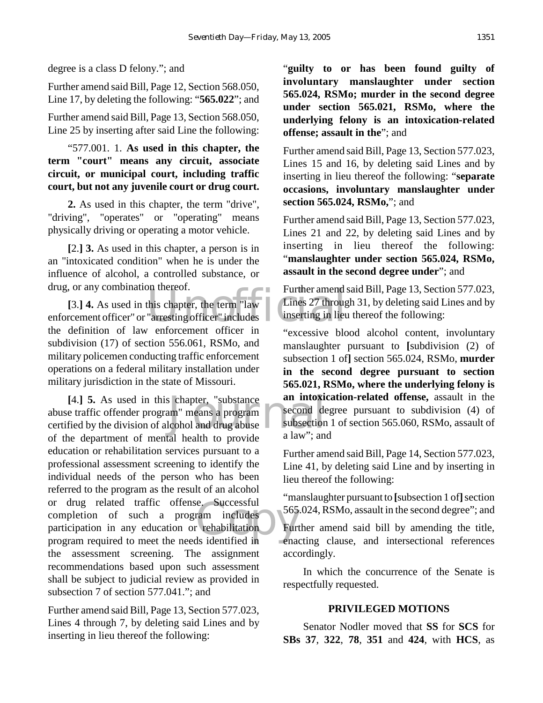degree is a class D felony."; and

Further amend said Bill, Page 12, Section 568.050, Line 17, by deleting the following: "**565.022**"; and

Further amend said Bill, Page 13, Section 568.050, Line 25 by inserting after said Line the following:

"577.001. 1. **As used in this chapter, the term "court" means any circuit, associate circuit, or municipal court, including traffic court, but not any juvenile court or drug court.**

**2.** As used in this chapter, the term "drive", "driving", "operates" or "operating" means physically driving or operating a motor vehicle.

**[**2.**] 3.** As used in this chapter, a person is in an "intoxicated condition" when he is under the influence of alcohol, a controlled substance, or drug, or any combination thereof.

of the term and this chapter, the term "law Lines 27 through the chapter" includes the contraction of the contraction of the contraction of the contraction of the contraction of the contraction of the contraction of the co **[**3.**] 4.** As used in this chapter, the term "law enforcement officer" or "arresting officer" includes the definition of law enforcement officer in subdivision (17) of section 556.061, RSMo, and military policemen conducting traffic enforcement operations on a federal military installation under military jurisdiction in the state of Missouri.

Social Compter, "substance an intoxic and intoxic second dependent of the subsection<br>
Leohol and drug abuse a law": and e. Successful<br>ram includes 565<br>rehabilitation Furn<br>ds identified in ena **[**4.**] 5.** As used in this chapter, "substance abuse traffic offender program" means a program certified by the division of alcohol and drug abuse of the department of mental health to provide education or rehabilitation services pursuant to a professional assessment screening to identify the individual needs of the person who has been referred to the program as the result of an alcohol or drug related traffic offense. Successful completion of such a program includes participation in any education or rehabilitation program required to meet the needs identified in the assessment screening. The assignment recommendations based upon such assessment shall be subject to judicial review as provided in subsection 7 of section 577.041."; and

Further amend said Bill, Page 13, Section 577.023, Lines 4 through 7, by deleting said Lines and by inserting in lieu thereof the following:

"**guilty to or has been found guilty of involuntary manslaughter under section 565.024, RSMo; murder in the second degree under section 565.021, RSMo, where the underlying felony is an intoxication-related offense; assault in the**"; and

Further amend said Bill, Page 13, Section 577.023, Lines 15 and 16, by deleting said Lines and by inserting in lieu thereof the following: "**separate occasions, involuntary manslaughter under section 565.024, RSMo,**"; and

Further amend said Bill, Page 13, Section 577.023, Lines 21 and 22, by deleting said Lines and by inserting in lieu thereof the following: "**manslaughter under section 565.024, RSMo, assault in the second degree under**"; and

Further amend said Bill, Page 13, Section 577.023, Lines 27 through 31, by deleting said Lines and by inserting in lieu thereof the following:

"excessive blood alcohol content, involuntary manslaughter pursuant to **[**subdivision (2) of subsection 1 of**]** section 565.024, RSMo, **murder in the second degree pursuant to section 565.021, RSMo, where the underlying felony is an intoxication-related offense,** assault in the second degree pursuant to subdivision (4) of subsection 1 of section 565.060, RSMo, assault of a law"; and

Further amend said Bill, Page 14, Section 577.023, Line 41, by deleting said Line and by inserting in lieu thereof the following:

"manslaughter pursuant to **[**subsection 1 of**]** section 565.024, RSMo, assault in the second degree"; and

Further amend said bill by amending the title, enacting clause, and intersectional references accordingly.

In which the concurrence of the Senate is respectfully requested.

## **PRIVILEGED MOTIONS**

Senator Nodler moved that **SS** for **SCS** for **SBs 37**, **322**, **78**, **351** and **424**, with **HCS**, as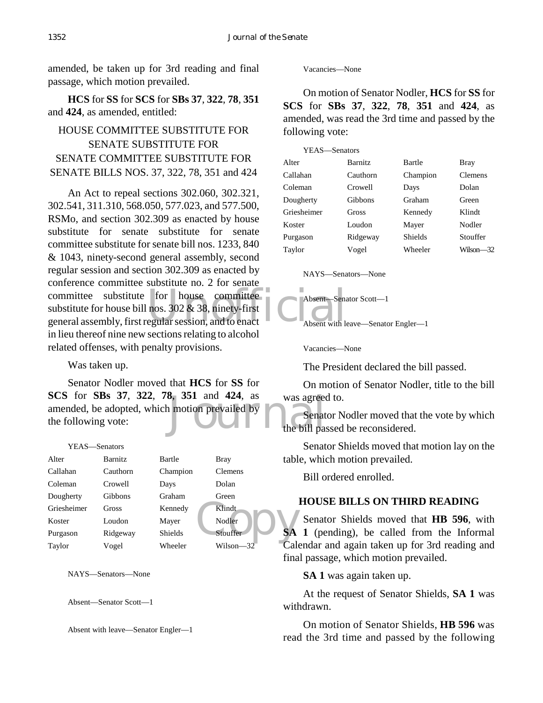amended, be taken up for 3rd reading and final passage, which motion prevailed.

**HCS** for **SS** for **SCS** for **SBs 37**, **322**, **78**, **351** and **424**, as amended, entitled:

# HOUSE COMMITTEE SUBSTITUTE FOR SENATE SUBSTITUTE FOR SENATE COMMITTEE SUBSTITUTE FOR SENATE BILLS NOS. 37, 322, 78, 351 and 424

committee substitute for house committee<br>
substitute for house bill nos. 302 & 38, ninety-first<br>
general assembly, first regular session, and to enact<br>
Absent with let An Act to repeal sections 302.060, 302.321, 302.541, 311.310, 568.050, 577.023, and 577.500, RSMo, and section 302.309 as enacted by house substitute for senate substitute for senate committee substitute for senate bill nos. 1233, 840 & 1043, ninety-second general assembly, second regular session and section 302.309 as enacted by conference committee substitute no. 2 for senate substitute for house bill nos.  $302 \& 38$ , ninety-first general assembly, first regular session, and to enact in lieu thereof nine new sections relating to alcohol related offenses, with penalty provisions.

Was taken up.

8, 351 and 424, as was agreed<br>a motion prevailed by<br>the bill past Senator Nodler moved that **HCS** for **SS** for **SCS** for **SBs 37**, **322**, **78**, **351** and **424**, as amended, be adopted, which motion prevailed by the following vote:

#### YEAS—Senators

| Alter       | <b>Barnitz</b> | Bartle   | <b>Bray</b>    | tabl |
|-------------|----------------|----------|----------------|------|
| Callahan    | Cauthorn       | Champion | <b>Clemens</b> |      |
| Coleman     | Crowell        | Days     | Dolan          |      |
| Dougherty   | <b>Gibbons</b> | Graham   | Green          |      |
| Griesheimer | <b>Gross</b>   | Kennedy  | Klindt         |      |
| Koster      | Loudon         | Mayer    | Nodler         |      |
| Purgason    | Ridgeway       | Shields  | Stouffer       | SА   |
| Taylor      | Vogel          | Wheeler  | Wilson—32      |      |

NAYS—Senators—None

Absent—Senator Scott—1

Absent with leave—Senator Engler—1

Vacancies—None

On motion of Senator Nodler, **HCS** for **SS** for **SCS** for **SBs 37**, **322**, **78**, **351** and **424**, as amended, was read the 3rd time and passed by the following vote:

| YEAS-Senators  |          |                |
|----------------|----------|----------------|
| <b>Barnitz</b> | Bartle   | <b>Bray</b>    |
| Cauthorn       | Champion | <b>Clemens</b> |
| Crowell        | Days     | Dolan          |
| <b>Gibbons</b> | Graham   | Green          |
| Gross          | Kennedy  | Klindt         |
| Loudon         | Mayer    | Nodler         |
| Ridgeway       | Shields  | Stouffer       |
| Vogel          | Wheeler  | Wilson—32      |
|                |          |                |

#### NAYS—Senators—None

Absent—Senator Scott—1

Absent with leave—Senator Engler—1

Vacancies—None

The President declared the bill passed.

On motion of Senator Nodler, title to the bill was agreed to.

Senator Nodler moved that the vote by which the bill passed be reconsidered.

Senator Shields moved that motion lay on the table, which motion prevailed.

Bill ordered enrolled.

## **HOUSE BILLS ON THIRD READING**

Senator Shields moved that **HB 596**, with **SA 1** (pending), be called from the Informal Calendar and again taken up for 3rd reading and final passage, which motion prevailed.

**SA 1** was again taken up.

At the request of Senator Shields, **SA 1** was withdrawn.

On motion of Senator Shields, **HB 596** was read the 3rd time and passed by the following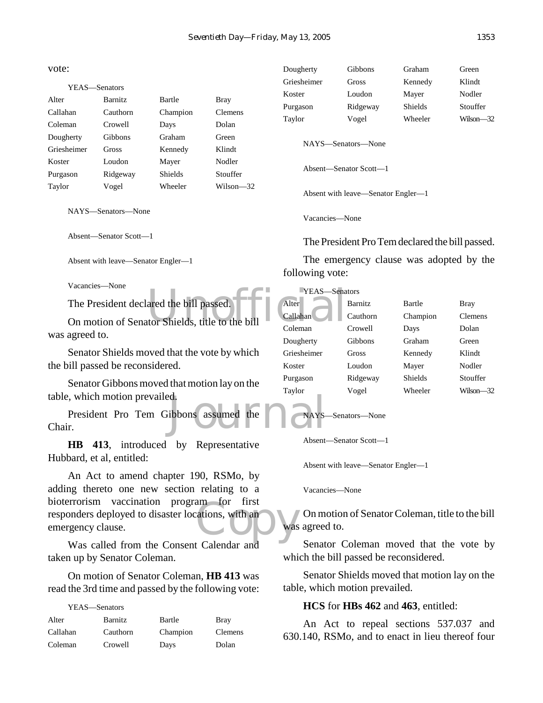vote:

# YEAS—Senators Alter Barnitz Bartle Bray Callahan Cauthorn Champion Clemens Coleman Crowell Days Dolan Dougherty Gibbons Graham Green Griesheimer Gross Kennedy Klindt Koster Loudon Mayer Nodler Purgason Ridgeway Shields Stouffer Taylor Vogel Wheeler Wilson—32

NAYS—Senators—None

Absent—Senator Scott—1

Absent with leave—Senator Engler—1

Vacancies—None

The President declared the bill passed.

The President declared the bill passed.<br>
On motion of Senator Shields, title to the bill<br>
Coleman was agreed to.

Senator Shields moved that the vote by which the bill passed be reconsidered.

Senator Gibbons moved that motion lay on the table, which motion prevailed.

d.<br>ibbons assumed the news-President Pro Tem Gibbons assumed the Chair.

**HB 413**, introduced by Representative Hubbard, et al, entitled:

am for first<br>ations, with an was An Act to amend chapter 190, RSMo, by adding thereto one new section relating to a bioterrorism vaccination program for first responders deployed to disaster locations, with an emergency clause.

Was called from the Consent Calendar and taken up by Senator Coleman.

On motion of Senator Coleman, **HB 413** was read the 3rd time and passed by the following vote:

| YEAS—Senators |          |          |                |
|---------------|----------|----------|----------------|
| Alter         | Barnitz  | Bartle   | <b>Bray</b>    |
| Callahan      | Cauthorn | Champion | <b>Clemens</b> |
| Coleman       | Crowell  | Days     | Dolan          |

| Griesheimer            | Gross                              | Kennedy | Klindt    |  |
|------------------------|------------------------------------|---------|-----------|--|
| Koster                 | Loudon                             | Mayer   | Nodler    |  |
| Purgason               | Ridgeway                           | Shields | Stouffer  |  |
| Taylor                 | Vogel                              | Wheeler | Wilson-32 |  |
|                        | NAYS—Senators—None                 |         |           |  |
| Absent—Senator Scott—1 |                                    |         |           |  |
|                        | Absent with leave—Senator Engler—1 |         |           |  |

Dougherty Gibbons Graham Green

Vacancies—None

The President Pro Tem declared the bill passed.

The emergency clause was adopted by the following vote:

YEAS—Senators

| Alter       | <b>Barnitz</b> | <b>Bartle</b>  | Bray           |
|-------------|----------------|----------------|----------------|
| Callahan    | Cauthorn       | Champion       | <b>Clemens</b> |
| Coleman     | Crowell        | Days           | Dolan          |
| Dougherty   | Gibbons        | Graham         | Green          |
| Griesheimer | Gross          | Kennedy        | Klindt         |
| Koster      | Loudon         | Mayer          | Nodler         |
| Purgason    | Ridgeway       | <b>Shields</b> | Stouffer       |
| Taylor      | Vogel          | Wheeler        | Wilson—32      |

NAYS—Senators—None

Absent—Senator Scott—1

Absent with leave—Senator Engler—1

Vacancies—None

On motion of Senator Coleman, title to the bill was agreed to.

Senator Coleman moved that the vote by which the bill passed be reconsidered.

Senator Shields moved that motion lay on the table, which motion prevailed.

#### **HCS** for **HBs 462** and **463**, entitled:

An Act to repeal sections 537.037 and 630.140, RSMo, and to enact in lieu thereof four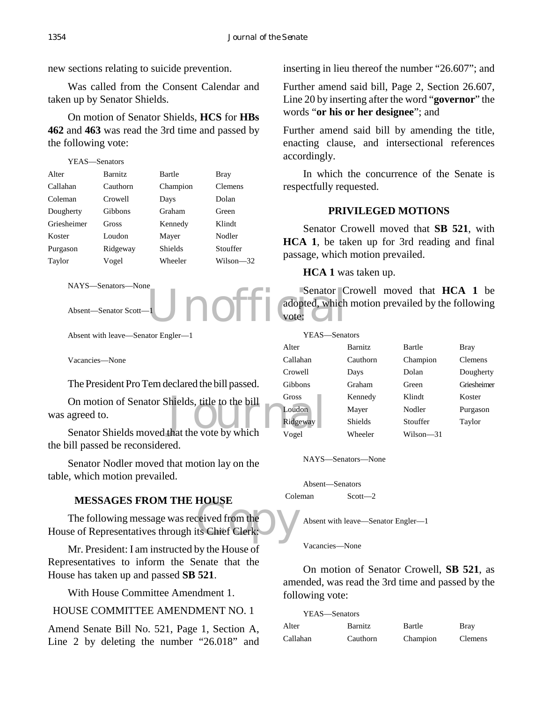new sections relating to suicide prevention.

Was called from the Consent Calendar and taken up by Senator Shields.

On motion of Senator Shields, **HCS** for **HBs 462** and **463** was read the 3rd time and passed by the following vote:

| YEAS—Senators |                |                |                |
|---------------|----------------|----------------|----------------|
| Alter         | <b>Barnitz</b> | Bartle         | Bray           |
| Callahan      | Cauthorn       | Champion       | <b>Clemens</b> |
| Coleman       | Crowell        | Days           | Dolan          |
| Dougherty     | Gibbons        | Graham         | Green          |
| Griesheimer   | Gross          | Kennedy        | Klindt         |
| Koster        | Loudon         | Mayer          | Nodler         |
| Purgason      | Ridgeway       | <b>Shields</b> | Stouffer       |
| Taylor        | Vogel          | Wheeler        | Wilson—32      |

```
NAYS—Senators—None
```
Absent—Senator Scott—1

Absent with leave—Senator Engler—1

Vacancies—None

The President Pro Tem declared the bill passed.

On motion of Senator Shields, title to the bill<br>
agreed to.<br>
Senator Shields moved that the vote by which vogel On motion of Senator Shields, title to the bill was agreed to.

the bill passed be reconsidered.

Senator Nodler moved that motion lay on the table, which motion prevailed.

## **MESSAGES FROM THE HOUSE**

MESSAGES FROM THE HOUSE<br>The following message was received from the<br>House of Representatives through its Chief Clerk: The following message was received from the

Mr. President: I am instructed by the House  $\overline{of}$ Representatives to inform the Senate that the House has taken up and passed **SB 521**.

With House Committee Amendment 1.

# HOUSE COMMITTEE AMENDMENT NO. 1

Amend Senate Bill No. 521, Page 1, Section A, Line 2 by deleting the number "26.018" and inserting in lieu thereof the number "26.607"; and

Further amend said bill, Page 2, Section 26.607, Line 20 by inserting after the word "**governor**" the words "**or his or her designee**"; and

Further amend said bill by amending the title, enacting clause, and intersectional references accordingly.

In which the concurrence of the Senate is respectfully requested.

## **PRIVILEGED MOTIONS**

Senator Crowell moved that **SB 521**, with **HCA 1**, be taken up for 3rd reading and final passage, which motion prevailed.

**HCA 1** was taken up.

Unofficial Senator C Senator Crowell moved that **HCA 1** be adopted, which motion prevailed by the following vote: C

| YEAS—Senators  |                |             |             |
|----------------|----------------|-------------|-------------|
| Alter          | <b>Barnitz</b> | Bartle      | Bray        |
| Callahan       | Cauthorn       | Champion    | Clemens     |
| Crowell        | Days           | Dolan       | Dougherty   |
| <b>Gibbons</b> | Graham         | Green       | Griesheimer |
| Gross          | Kennedy        | Klindt      | Koster      |
| Loudon         | Mayer          | Nodler      | Purgason    |
| Ridgeway       | Shields        | Stouffer    | Taylor      |
| Vogel          | Wheeler        | $Wilson-31$ |             |

NAYS—Senators—None

Absent—Senators Coleman Scott—2

Absent with leave—Senator Engler—1

Vacancies—None

On motion of Senator Crowell, **SB 521**, as amended, was read the 3rd time and passed by the following vote:

| YEAS—Senators |                |          |                |
|---------------|----------------|----------|----------------|
| Alter         | <b>Barnitz</b> | Bartle   | <b>Bray</b>    |
| Callahan      | Cauthorn       | Champion | <b>Clemens</b> |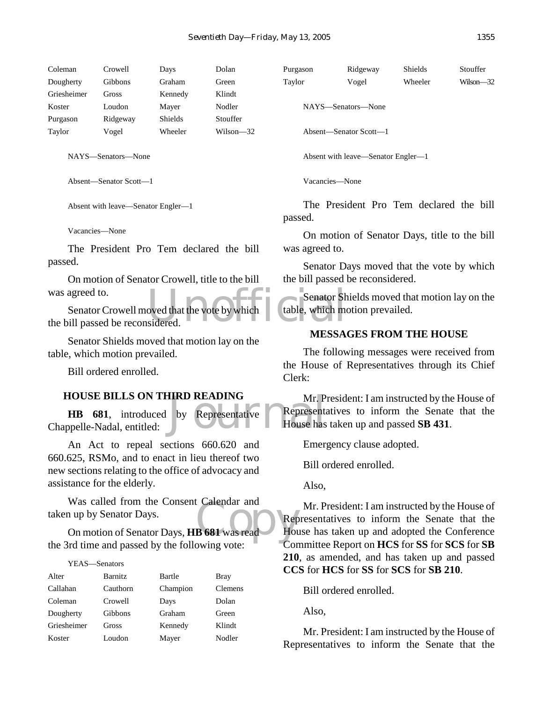| Coleman     | Crowell        | Days           | Dolan     |
|-------------|----------------|----------------|-----------|
| Dougherty   | <b>Gibbons</b> | Graham         | Green     |
| Griesheimer | Gross          | Kennedy        | Klindt    |
| Koster      | Loudon         | Mayer          | Nodler    |
| Purgason    | Ridgeway       | <b>Shields</b> | Stouffer  |
| Taylor      | Vogel          | Wheeler        | Wilson—32 |
|             |                |                |           |

Absent—Senator Scott—1

Absent with leave—Senator Engler—1

Vacancies—None

The President Pro Tem declared the bill passed.

On motion of Senator Crowell, title to the bill was agreed to.

Senator Sh<br>
sidered. Senator Sh<br>
sidered. Senator Crowell moved that the vote by which the bill passed be reconsidered.

Senator Shields moved that motion lay on the table, which motion prevailed.

Bill ordered enrolled.

#### **HOUSE BILLS ON THIRD READING**

**HIRD READING** Mr. P<br>by Representative Representation **HB 681**, introduced by Representative Chappelle-Nadal, entitled:

An Act to repeal sections 660.620 and 660.625, RSMo, and to enact in lieu thereof two new sections relating to the office of advocacy and assistance for the elderly.

Was called from the Consent Calendar and<br>
a up by Senator Days,<br>
On motion of Senator Days, **HB 681** was read Was called from the Consent Calendar and taken up by Senator Days.

the 3rd time and passed by the following vote:

#### YEAS—Senators

| Alter       | <b>Barnitz</b> | Bartle   | Bray    |
|-------------|----------------|----------|---------|
| Callahan    | Cauthorn       | Champion | Clemens |
| Coleman     | Crowell        | Days     | Dolan   |
| Dougherty   | <b>Gibbons</b> | Graham   | Green   |
| Griesheimer | Gross          | Kennedy  | Klindt  |
| Koster      | Loudon         | Mayer    | Nodler  |

Purgason Ridgeway Shields Stouffer Taylor Vogel Wheeler Wilson—32

NAYS—Senators—None

Absent—Senator Scott—1

Absent with leave—Senator Engler—1

Vacancies—None

The President Pro Tem declared the bill passed.

On motion of Senator Days, title to the bill was agreed to.

Senator Days moved that the vote by which the bill passed be reconsidered.

Senator Shields moved that motion lay on the table, which motion prevailed.

#### **MESSAGES FROM THE HOUSE**

The following messages were received from the House of Representatives through its Chief Clerk:

Mr. President: I am instructed by the House of Representatives to inform the Senate that the House has taken up and passed **SB 431**.

Emergency clause adopted.

Bill ordered enrolled.

Also,

Mr. President: I am instructed by the House of Representatives to inform the Senate that the House has taken up and adopted the Conference Committee Report on **HCS** for **SS** for **SCS** for **SB 210**, as amended, and has taken up and passed **CCS** for **HCS** for **SS** for **SCS** for **SB 210**.

Bill ordered enrolled.

Also,

Mr. President: I am instructed by the House of Representatives to inform the Senate that the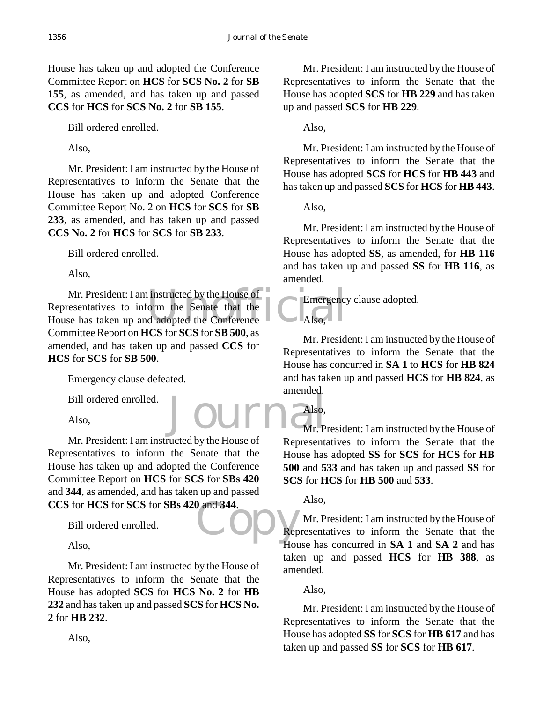House has taken up and adopted the Conference Committee Report on **HCS** for **SCS No. 2** for **SB 155**, as amended, and has taken up and passed **CCS** for **HCS** for **SCS No. 2** for **SB 155**.

Bill ordered enrolled.

Also,

Mr. President: I am instructed by the House of Representatives to inform the Senate that the House has taken up and adopted Conference Committee Report No. 2 on **HCS** for **SCS** for **SB 233**, as amended, and has taken up and passed **CCS No. 2** for **HCS** for **SCS** for **SB 233**.

Bill ordered enrolled.

Also,

Mr. President: I am instructed by the House of<br>
Representatives to inform the Senate that the<br>
House has taken up and adopted the Conference<br>
Also, Mr. President: I am instructed by the House of  $\bullet$ Representatives to inform the Senate that the Committee Report on **HCS** for **SCS** for **SB 500**, as amended, and has taken up and passed **CCS** for **HCS** for **SCS** for **SB 500**.

Emergency clause defeated.

Bill ordered enrolled.

Also,

 $\begin{array}{c} \n 0 \text{ and } 344. \\
 \n \text{C.} \n \end{array}$ Mr. President: I am instructed by the House of Representatives to inform the Senate that the House has taken up and adopted the Conference Committee Report on **HCS** for **SCS** for **SBs 420** and **344**, as amended, and has taken up and passed **CCS** for **HCS** for **SCS** for **SBs 420** and **344**.

Bill ordered enrolled.

Also,

Mr. President: I am instructed by the House of Representatives to inform the Senate that the House has adopted **SCS** for **HCS No. 2** for **HB 232** and has taken up and passed **SCS** for **HCS No. 2** for **HB 232**.

Mr. President: I am instructed by the House of Representatives to inform the Senate that the House has adopted **SCS** for **HB 229** and has taken up and passed **SCS** for **HB 229**.

Also,

Mr. President: I am instructed by the House of Representatives to inform the Senate that the House has adopted **SCS** for **HCS** for **HB 443** and has taken up and passed **SCS** for **HCS** for **HB 443**.

Also,

Also,

Mr. President: I am instructed by the House of Representatives to inform the Senate that the House has adopted **SS**, as amended, for **HB 116** and has taken up and passed **SS** for **HB 116**, as amended.

Emergency clause adopted.

Mr. President: I am instructed by the House of Representatives to inform the Senate that the House has concurred in **SA 1** to **HCS** for **HB 824** and has taken up and passed **HCS** for **HB 824**, as amended.

Journalso, Mr. President: I am instructed by the House of Representatives to inform the Senate that the House has adopted **SS** for **SCS** for **HCS** for **HB 500** and **533** and has taken up and passed **SS** for **SCS** for **HCS** for **HB 500** and **533**.

Also,

Also,

Mr. President: I am instructed by the House of Representatives to inform the Senate that the House has concurred in **SA 1** and **SA 2** and has taken up and passed **HCS** for **HB 388**, as amended.

Also,

Mr. President: I am instructed by the House of Representatives to inform the Senate that the House has adopted **SS** for **SCS** for **HB 617** and has taken up and passed **SS** for **SCS** for **HB 617**.

Also,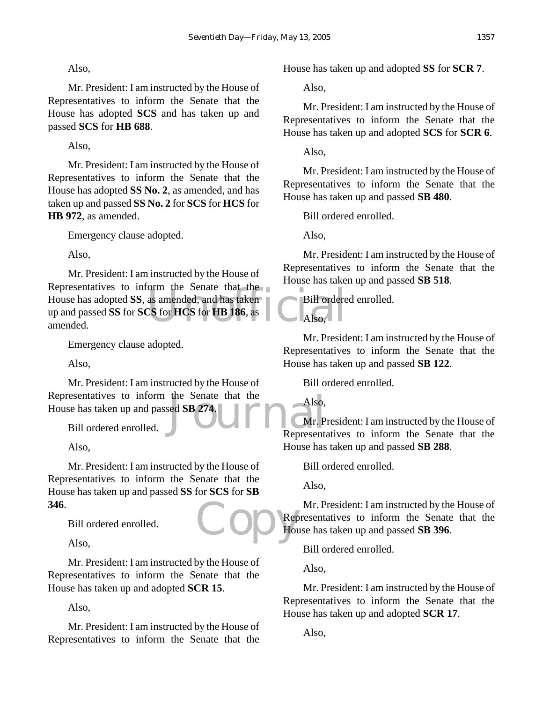## Also,

Mr. President: I am instructed by the House of Representatives to inform the Senate that the House has adopted **SCS** and has taken up and passed **SCS** for **HB 688**.

Also,

Mr. President: I am instructed by the House of Representatives to inform the Senate that the House has adopted **SS No. 2**, as amended, and has taken up and passed **SS No. 2** for **SCS** for **HCS** for **HB 972**, as amended.

Emergency clause adopted.

Also,

orm the senate that the<br>as amended, and has taken<br>CS for HCS for HB 186, as Mr. President: I am instructed by the House of Representatives to inform the Senate that the House has adopted **SS**, as amended, and has taken up and passed **SS** for **SCS** for **HCS** for **HB 186**, as amended.

Emergency clause adopted.

Also,

the Senate that the Also,<br>sed SB 274. Mr. P Mr. President: I am instructed by the House of Representatives to inform the Senate that the House has taken up and passed **SB 274**.

Bill ordered enrolled.

Also,

Cop Rep Mr. President: I am instructed by the House of Representatives to inform the Senate that the House has taken up and passed **SS** for **SCS** for **SB 346**.

Bill ordered enrolled.

Also,

Mr. President: I am instructed by the House of Representatives to inform the Senate that the House has taken up and adopted **SCR 15**.

Also,

Mr. President: I am instructed by the House of Representatives to inform the Senate that the House has taken up and adopted **SS** for **SCR 7**.

Also,

Mr. President: I am instructed by the House of Representatives to inform the Senate that the House has taken up and adopted **SCS** for **SCR 6**.

Also,

Mr. President: I am instructed by the House of Representatives to inform the Senate that the House has taken up and passed **SB 480**.

Bill ordered enrolled.

Also,

Mr. President: I am instructed by the House of Representatives to inform the Senate that the House has taken up and passed **SB 518**.

Bill ordered enrolled.

Also,

Mr. President: I am instructed by the House of Representatives to inform the Senate that the House has taken up and passed **SB 122**.

Bill ordered enrolled.

Also,

Mr. President: I am instructed by the House of Representatives to inform the Senate that the House has taken up and passed **SB 288**.

Bill ordered enrolled.

Also,

Mr. President: I am instructed by the House of Representatives to inform the Senate that the House has taken up and passed **SB 396**.

Bill ordered enrolled.

Also,

Mr. President: I am instructed by the House of Representatives to inform the Senate that the House has taken up and adopted **SCR 17**.

Also,